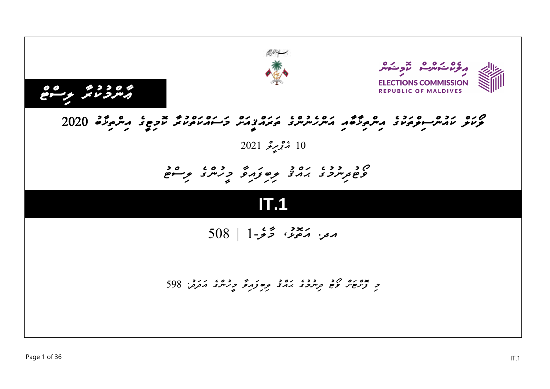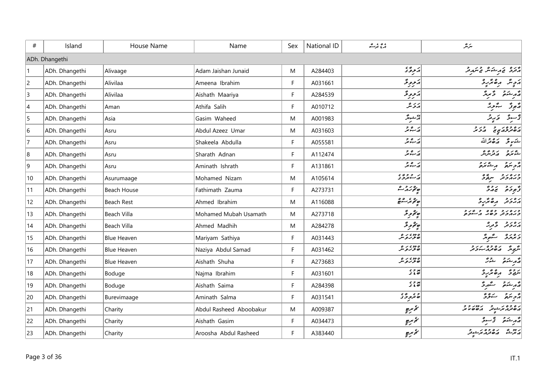| #              | Island         | House Name         | Name                    | Sex       | National ID | ، ه ، ره<br>مربح برگ            | ىئرىتر                                            |
|----------------|----------------|--------------------|-------------------------|-----------|-------------|---------------------------------|---------------------------------------------------|
|                | ADh. Dhangethi |                    |                         |           |             |                                 |                                                   |
|                | ADh. Dhangethi | Alivaage           | Adam Jaishan Junaid     | M         | A284403     | پزیره ی                         | أأدكره فكمر مشكر في مكرما والمحمد                 |
| $\overline{c}$ | ADh. Dhangethi | Alivilaa           | Ameena Ibrahim          | F         | A031661     | رَ وِ هِ وَّ                    | أأوستك وكالتمريز                                  |
| 3              | ADh. Dhangethi | Alivilaa           | Aishath Maariya         | F         | A284539     | بزىرە ئۇ                        | أأرشده وحمير                                      |
| $\overline{4}$ | ADh. Dhangethi | Aman               | Athifa Salih            | F         | A010712     | برىر ھ                          | وتبوقر<br>سِتَورُ                                 |
| 5              | ADh. Dhangethi | Asia               | Gasim Waheed            | M         | A001983     | ي<br>مر شەدىر                   | ر<br>تۇسىرق ق <sub>ۇ</sub> رىتر                   |
| $\sqrt{6}$     | ADh. Dhangethi | Asru               | Abdul Azeez Umar        | ${\sf M}$ | A031603     | بر ۱۵ و<br>مرسس <sup>و</sup> بر |                                                   |
| $\overline{7}$ | ADh. Dhangethi | Asru               | Shakeela Abdulla        | F         | A055581     | ەسبەبىر                         | خَيْرِ وَحَقَّ اللَّهَ                            |
| 8              | ADh. Dhangethi | Asru               | Sharath Adnan           | F         | A112474     | ەئەبىر                          | شوره روشهر                                        |
| 9              | ADh. Dhangethi | Asru               | Aminath Ishrath         | F         | A131861     | ەسىۋىر                          | أأترسكم ويشتمره                                   |
| 10             | ADh. Dhangethi | Asurumaage         | Mohamed Nizam           | M         | A105614     | ر و و پر د<br>پرستوبر د         | ورەرو سۇۋ                                         |
| 11             | ADh. Dhangethi | <b>Beach House</b> | Fathimath Zauma         | F         | A273731     | ھەمجە ئەشە                      | توجدة بروية                                       |
| 12             | ADh. Dhangethi | <b>Beach Rest</b>  | Ahmed Ibrahim           | M         | A116088     | پەنجو بىر مەھ                   | ره بر<br>ده بر برد<br>بر ه ر د<br>م <i>. د</i> کر |
| 13             | ADh. Dhangethi | <b>Beach Villa</b> | Mohamed Mubah Usamath   | ${\sf M}$ | A273718     | ھەمچە <i>مە</i> قر              |                                                   |
| 14             | ADh. Dhangethi | Beach Villa        | Ahmed Madhih            | ${\sf M}$ | A284278     | جەمحومۇ                         | بر 2 د تر<br>م <i>ر</i> کوتر<br>د ور<br>م         |
| 15             | ADh. Dhangethi | <b>Blue Heaven</b> | Mariyam Sathiya         | F         | A031443     | ه دو پر ره<br>ح <i>ور و</i> س   | و ورو گے گھ                                       |
| 16             | ADh. Dhangethi | <b>Blue Heaven</b> | Naziya Abdul Samad      | F         | A031462     | ه دو پر ره<br><i>ه مور</i> و س  | ره وه بر رو<br>پره توپر جنوبو<br>لىتىبورى         |
| 17             | ADh. Dhangethi | <b>Blue Heaven</b> | Aishath Shuha           | F         | A273683     | ه دد پ ر<br>ح <i>ور و</i> س     | أقهر شوقر الشوشر                                  |
| 18             | ADh. Dhangethi | Boduge             | Najma Ibrahim           | F         | A031601     | 550                             | پر و پ<br>برە ئۆرۈ                                |
| 19             | ADh. Dhangethi | Boduge             | Aishath Saima           | F         | A284398     | 550                             | سە پەرىخ<br>پ <sup>و</sup> بر شده د               |
| 20             | ADh. Dhangethi | Burevimaage        | Aminath Salma           | F         | A031541     | ه نمر <i>و</i> د کا             | سەۋۋ<br>أثرمه برد                                 |
| 21             | ADh. Dhangethi | Charity            | Abdul Rasheed Aboobakur | M         | A009387     | كجمريح                          | נסכסניבת בינדיכר<br>הסנגיביבת הססטיב              |
| 22             | ADh. Dhangethi | Charity            | Aishath Gasim           | F         | A034473     | كخومريج                         | ومرشكو تخ سوفر                                    |
| 23             | ADh. Dhangethi | Charity            | Aroosha Abdul Rasheed   | F         | A383440     | كجمعريج                         | ر دو به دره وه ر<br>در کار شده که کار مرشونگر     |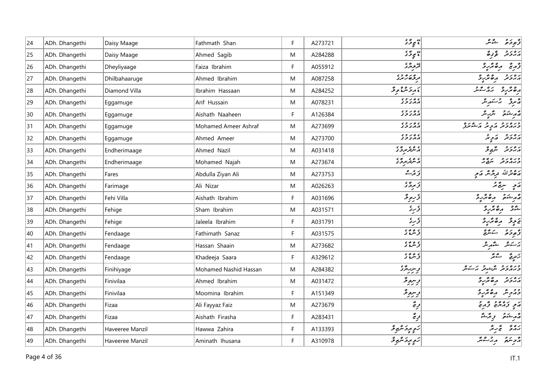| 24 | ADh. Dhangethi | Daisy Maage     | Fathmath Shan         | F           | A273721 | ر<br>پانگ پی پی تر <sub>ک</sub>                        | ىشەشر<br>و د د د<br>تر د د د                  |
|----|----------------|-----------------|-----------------------|-------------|---------|--------------------------------------------------------|-----------------------------------------------|
| 25 | ADh. Dhangethi | Daisy Maage     | Ahmed Sagib           | M           | A284288 | ړ،<br>٤ سپې تر تر                                      | بر ه بر د<br>م. <i>ب</i> رو تر                |
| 26 | ADh. Dhangethi | Dheyliyaage     | Faiza Ibrahim         | $\mathsf F$ | A055912 | ء،<br>ترمز پر پ                                        | ە ھەمەر 2<br>برھەمەر 2<br>قرمر پچ             |
| 27 | ADh. Dhangethi | Dhilbahaaruge   | Ahmed Ibrahim         | M           | A087258 | ه در ۶ و ۷<br>درمون تر بر <sub>ک</sub>                 | ەر ئەر<br>ە ھەترىر ۋ                          |
| 28 | ADh. Dhangethi | Diamond Villa   | Ibrahim Hassaan       | M           | A284252 | ئەر ئەمرى<br>ئ                                         | برە ئەتە<br>ە ھەترىرى<br>برھەترىپە            |
| 29 | ADh. Dhangethi | Eggamuge        | Arif Hussain          | M           | A078231 | ، ه ر و ،<br>ممر تر ت                                  | ەمبرۇ برخىرىگر                                |
| 30 | ADh. Dhangethi | Eggamuge        | Aishath Naaheen       | F           | A126384 | ، ه ر و ،<br>مهر تر تر                                 | ر<br><i>وگ</i> رىشكى ئىگرىش                   |
| 31 | ADh. Dhangethi | Eggamuge        | Mohamed Ameer Ashraf  | M           | A273699 | 55500                                                  | ورەر دېر مەشھۇ                                |
| 32 | ADh. Dhangethi | Eggamuge        | Ahmed Ameer           | M           | A273700 | ، ه ر د ،<br>پرو ژ ژ                                   | د مر د د پر پر                                |
| 33 | ADh. Dhangethi | Endherimaage    | Ahmed Nazil           | M           | A031418 | ، مەئىرىرى <i>چ</i>                                    | بر ٥ پر و<br>در بر <del>و</del> تر<br>ىتىر بۇ |
| 34 | ADh. Dhangethi | Endherimaage    | Mohamed Najah         | M           | A273674 | ې ه وې په مخ<br>مربوبورنو <sub>ک</sub>                 | و ر ه ر د<br>تر پر ژنر<br>ىر ئە 2             |
| 35 | ADh. Dhangethi | Fares           | Abdulla Ziyan Ali     | M           | A273753 | ىر ئەپ                                                 | مَدْ قَدْاللّه مْرِمَّرْ مْرَ مَرْمِ          |
| 36 | ADh. Dhangethi | Farimage        | Ali Nizar             | M           | A026263 | ۇىردى                                                  | أيمو سيتما                                    |
| 37 | ADh. Dhangethi | Fehi Villa      | Aishath Ibrahim       | $\mathsf F$ | A031696 | ۇر <sub>ەر</sub> ۇ                                     |                                               |
| 38 | ADh. Dhangethi | Fehige          | Sham Ibrahim          | M           | A031571 | ې<br>توريخ                                             | شوه رەمزرو                                    |
| 39 | ADh. Dhangethi | Fehige          | Jaleela Ibrahim       | F           | A031791 | ې<br>توري                                              | فأجرش وهاتررد                                 |
| 40 | ADh. Dhangethi | Fendaage        | Fathimath Sanaz       | F           | A031575 | ې ۵ پرې<br>توسره ن                                     | سەھىيى<br>و بر د<br>ترموز م                   |
| 41 | ADh. Dhangethi | Fendaage        | Hassan Shaain         | M           | A273682 | ه ه ۶ ه<br>و سره د                                     | بزستەنتىر<br>مشمر مثر                         |
| 42 | ADh. Dhangethi | Fendaage        | Khadeeja Saara        | F           | A329612 |                                                        | رَمْرِيحَ السَّمَرُّ                          |
| 43 | ADh. Dhangethi | Finihiyage      | Mohamed Nashid Hassan | M           | A284382 | و سربر پر د<br>تر سربر پر                              | ورەرو ئۇيغاقر بەسكىل                          |
| 44 | ADh. Dhangethi | Finivilaa       | Ahmed Ibrahim         | M           | A031472 | او سره څه<br><u>ست</u>                                 | גפנג הפיציב                                   |
| 45 | ADh. Dhangethi | Finivilaa       | Moomina Ibrahim       | F           | A151349 | ر سره څه<br><u>سر</u>                                  | ە ھەمرىر 2<br>مەھمەر 2<br>د دېر شر            |
| 46 | ADh. Dhangethi | Fizaa           | Ali Fayyaz Faiz       | M           | A273679 | وپچ                                                    |                                               |
| 47 | ADh. Dhangethi | Fizaa           | Aishath Firasha       | F           | A283431 | ويج                                                    | ړه کې ده.<br>د کار کشونو کې<br>و پڙيئے<br>پ   |
| 48 | ADh. Dhangethi | Haveeree Manzil | Hawwa Zahira          | F           | A133393 | رَ <sub>موٍ بر</sub> ِ <sub>دَ سُر<sub>ُ</sub> و</sub> | برەپچ                                         |
| 49 | ADh. Dhangethi | Haveeree Manzil | Aminath Ihusana       | F           | A310978 | ائەمە پەئەتتى<br>—                                     | أمجر سنتمر متركت متشر                         |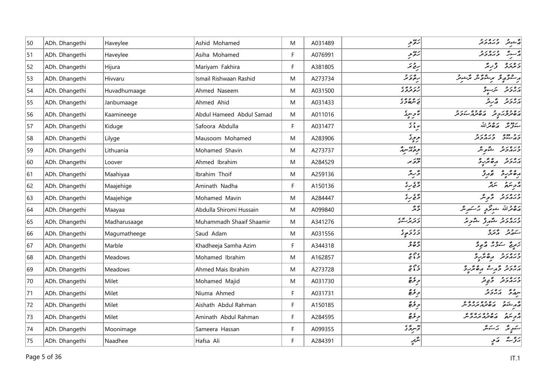| 50 | ADh. Dhangethi | Haveylee     | Ashid Mohamed            | M           | A031489 | رەيج                                | ه شوتر وره د و<br>م شوتر او برابر و تر        |
|----|----------------|--------------|--------------------------|-------------|---------|-------------------------------------|-----------------------------------------------|
| 51 | ADh. Dhangethi | Haveylee     | Asiha Mohamed            | $\mathsf F$ | A076991 | ريمو                                | پڙسٽ<br>و رە ر د<br><i>د بە</i> پەر           |
| 52 | ADh. Dhangethi | Hijura       | Mariyam Fakhira          | E           | A381805 | ىرقى ئىر                            | رەرە ئېرىگە                                   |
| 53 | ADh. Dhangethi | Hivvaru      | Ismail Rishwaan Rashid   | M           | A273734 | رە دىر                              | ر موکړو برشوگر بر <sub>شو</sub> ر             |
| 54 | ADh. Dhangethi | Huvadhumaage | Ahmed Naseem             | M           | A031500 | و ر و د  ،<br>ره ترو د              | גפגב <sub>מצעת</sub> פ                        |
| 55 | ADh. Dhangethi | Janbumaage   | Ahmed Ahid               | M           | A031433 | ر ه د د »<br>نح سره تر د            | برەر د ئەرىر                                  |
| 56 | ADh. Dhangethi | Kaamineege   | Abdul Hameed Abdul Samad | M           | A011016 | لأحرسونكه                           | נס כסני כי נס כס ננקי<br>השנת בית השנג היכנת  |
| 57 | ADh. Dhangethi | Kiduge       | Safoora Abdulla          | F           | A031477 | $53\nu$                             | بردديج وكافد الله                             |
| 58 | ADh. Dhangethi | Lilyge       | Mausoom Mohamed          | M           | A283906 | مومودگا<br>مربو                     | ر و دوه<br>وړ ښو<br>و ره ر و<br>تر پر ژفر     |
| 59 | ADh. Dhangethi | Lithuania    | Mohamed Shavin           | M           | A273737 | وەيمىز                              | ورەرو شەھ ش                                   |
| 60 | ADh. Dhangethi | Loover       | Ahmed Ibrahim            | M           | A284529 | دور<br>نوح مر                       | برورد مصريره                                  |
| 61 | ADh. Dhangethi | Maahiyaa     | Ibrahim Thoif            | M           | A259136 | د سر پر<br>ر                        | مەممەد بۇمۇ                                   |
| 62 | ADh. Dhangethi | Maajehige    | Aminath Nadha            | F           | A150136 | ء ۽ ري<br>ح                         | أأترسم المرتكز                                |
| 63 | ADh. Dhangethi | Maajehige    | Mohamed Mavin            | M           | A284447 | ی ء<br>ترقع سر تر                   | ورەرو ئورگ                                    |
| 64 | ADh. Dhangethi | Maayaa       | Abdulla Shiromi Hussain  | M           | A099840 | ريمر                                | رە داللە ھوترىي بر خور شر                     |
| 65 | ADh. Dhangethi | Madharusaage | Muhammadh Shaaif Shaamir | M           | A341276 | ر ر د پر پر<br><del>ر</del> تر پر گ |                                               |
| 66 | ADh. Dhangethi | Magumatheege | Saud Adam                | M           | A031556 | ر ور <sub>م</sub>                   | ر د د په ده د                                 |
| 67 | ADh. Dhangethi | Marble       | Khadheeja Samha Azim     | F           | A344318 | ≉ه ه<br>رگ                          | ترمرچ ڪوڻ ھي و                                |
| 68 | ADh. Dhangethi | Meadows      | Mohamed Ibrahim          | M           | A162857 | $rac{1}{6}$                         | כנסנב תפתנב                                   |
| 69 | ADh. Dhangethi | Meadows      | Ahmed Mais Ibrahim       | M           | A273728 | 2000                                | גפנג כאים גם הים                              |
| 70 | ADh. Dhangethi | Milet        | Mohamed Majid            | M           | A031730 | تريحي                               | ورەر د ۋې تر                                  |
| 71 | ADh. Dhangethi | Milet        | Niuma Ahmed              | F           | A031731 | تربره                               | יינג גם גב                                    |
| 72 | ADh. Dhangethi | Milet        | Aishath Abdul Rahman     | F           | A150185 | تربره                               | ه د د ده ده ده ده و<br>پرکرشوی پره تربر تر تر |
| 73 | ADh. Dhangethi | Milet        | Aminath Abdul Rahman     | F           | A284595 | تريحي                               |                                               |
| 74 | ADh. Dhangethi | Moonimage    | Sameera Hassan           | F           | A099355 | دويدي<br>حسرچري                     | سكوپى كاسكىل                                  |
| 75 | ADh. Dhangethi | Naadhee      | Hafsa Ali                | $\mathsf F$ | A284391 | سگرمرٍ                              | بروية الأمير                                  |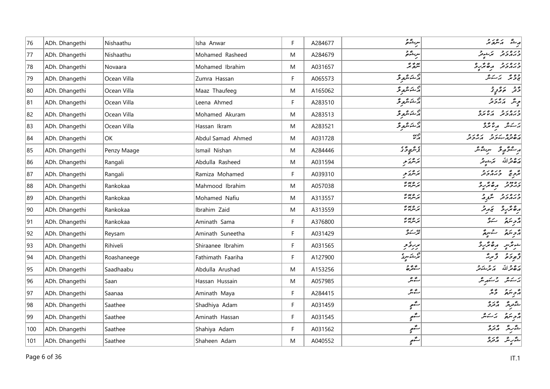| 76  | ADh. Dhangethi | Nishaathu   | Isha Anwar        | F           | A284677 | سريشو و                    | $rac{200}{x^{2}}$ $rac{20}{x^{2}}$                                                                                                                                                                                               |
|-----|----------------|-------------|-------------------|-------------|---------|----------------------------|----------------------------------------------------------------------------------------------------------------------------------------------------------------------------------------------------------------------------------|
| 77  | ADh. Dhangethi | Nishaathu   | Mohamed Rasheed   | M           | A284679 | سريشگر                     | وره رو کرشونر                                                                                                                                                                                                                    |
| 78  | ADh. Dhangethi | Novaara     | Mohamed Ibrahim   | M           | A031657 | بىز ئەس<br>سرەر ئىر        | כממכני תפתוב                                                                                                                                                                                                                     |
| 79  | ADh. Dhangethi | Ocean Villa | Zumra Hassan      | F           | A065573 | ە ئەنە ئىرى <i>مۇ</i> ئى   | ج ج پر کر کر میں                                                                                                                                                                                                                 |
| 80  | ADh. Dhangethi | Ocean Villa | Maaz Thaufeeg     | M           | A165062 | م شەھرى <i>دى</i><br>م     | و - مور د<br>دنر مور پ <sup>و</sup>                                                                                                                                                                                              |
| 81  | ADh. Dhangethi | Ocean Villa | Leena Ahmed       | $\mathsf F$ | A283510 | ە ئەنە ئى <sub>رىم</sub> ۇ | ويتر أيره دو                                                                                                                                                                                                                     |
| 82  | ADh. Dhangethi | Ocean Villa | Mohamed Akuram    | M           | A283513 | مەسىئە مىرى <i>مى</i><br>  | כנסנכ נסנס<br>כממכת משינכ                                                                                                                                                                                                        |
| 83  | ADh. Dhangethi | Ocean Villa | Hassan Ikram      | M           | A283521 | ە ئەئەمىرىدىگە<br>م        | يُرَسَدَسُ ماعرَدُ                                                                                                                                                                                                               |
| 84  | ADh. Dhangethi | OK          | Abdul Samad Ahmed | M           | A031728 | ەء،<br>م                   | נסכם נגב נסגב<br>בסתבת-בבת בבת                                                                                                                                                                                                   |
| 85  | ADh. Dhangethi | Penzy Maage | Ismail Nishan     | M           | A284446 | ې شر <sub>ىپ چ</sub> ئ     | أبر سيؤتي في الرستيش                                                                                                                                                                                                             |
| 86  | ADh. Dhangethi | Rangali     | Abdulla Rasheed   | M           | A031594 | برەير                      | مَدْهُ مَّدْ مَرْسُومْر                                                                                                                                                                                                          |
| 87  | ADh. Dhangethi | Rangali     | Ramiza Mohamed    | F           | A039310 | برەير                      | و ره ر و<br><i>د ټ</i> رکر<br>ترويح                                                                                                                                                                                              |
| 88  | ADh. Dhangethi | Rankokaa    | Mahmood Ibrahim   | M           | A057038 | ر ۵ پر ۶<br>بر مربر با     | ג ס כב כ מים של הם היו הרי ברי היו ברי היו ברי היו ברי היו ברי היו ברי היו ברי היו ליי ברי היו ליי ברי היו ליי<br>היו ברי היו היו ליי היו ברי היו ברי היו ברי היו ברי היו ברי היו ברי היו ברי היו ברי היו ברי היו ברי היו ברי הי |
| 89  | ADh. Dhangethi | Rankokaa    | Mohamed Nafiu     | M           | A313557 | ر ۵ پر پر<br>بر مربع تر    | سڭرۇ<br>و ر ه ر و<br>تر پر تر تر                                                                                                                                                                                                 |
| 90  | ADh. Dhangethi | Rankokaa    | Ibrahim Zaid      | M           | A313559 | ر ۵ پر پر<br>بر سربر ر     | دەندىر<br>ىئ مرىتر                                                                                                                                                                                                               |
| 91  | ADh. Dhangethi | Rankokaa    | Aminath Sama      | F           | A376800 | ر ۵ پر ۶<br>بر مربر با     | أأترسمو<br>سەبىج                                                                                                                                                                                                                 |
| 92  | ADh. Dhangethi | Reysam      | Aminath Suneetha  | F           | A031429 | محرسه حرم                  | أروسي<br>شەپەر<br>ئ                                                                                                                                                                                                              |
| 93  | ADh. Dhangethi | Rihiveli    | Shiraanee Ibrahim | F.          | A031565 | ىررى<br>ئرىر ئىر           | ے بڑسرِ<br>حوبڑسرِ<br>ە ھەترىرى<br>مەھىرىرى                                                                                                                                                                                      |
| 94  | ADh. Dhangethi | Roashaneege | Fathimath Faariha | F           | A127900 | لتحريضه يبرع               | ۇ برگ<br>ۇ بوز بو                                                                                                                                                                                                                |
| 95  | ADh. Dhangethi | Saadhaabu   | Abdulla Arushad   | M           | A153256 | ر دوره                     | بر حر شد و<br>بر سر شد قبر<br>برە تراللە                                                                                                                                                                                         |
| 96  | ADh. Dhangethi | Saan        | Hassan Hussain    | M           | A057985 | سەمىر                      | برسكاش الرسكارانش                                                                                                                                                                                                                |
| 97  | ADh. Dhangethi | Saanaa      | Aminath Maya      | $\mathsf F$ | A284415 | ئەشر                       | ويج<br>أأترسم                                                                                                                                                                                                                    |
| 98  | ADh. Dhangethi | Saathee     | Shadhiya Adam     | $\mathsf F$ | A031459 | ستنمج                      | پور ہ<br>مرکز<br>مشورتر                                                                                                                                                                                                          |
| 99  | ADh. Dhangethi | Saathee     | Aminath Hassan    | F           | A031545 | ستهمج                      | ۇچەسىم ئەسكىر                                                                                                                                                                                                                    |
| 100 | ADh. Dhangethi | Saathee     | Shahiya Adam      | $\mathsf F$ | A031562 | ستعمج                      | مشرير<br>پر ہ<br>مرتزو                                                                                                                                                                                                           |
| 101 | ADh. Dhangethi | Saathee     | Shaheen Adam      | M           | A040552 | رهيج                       | شگرىش كەنىرە                                                                                                                                                                                                                     |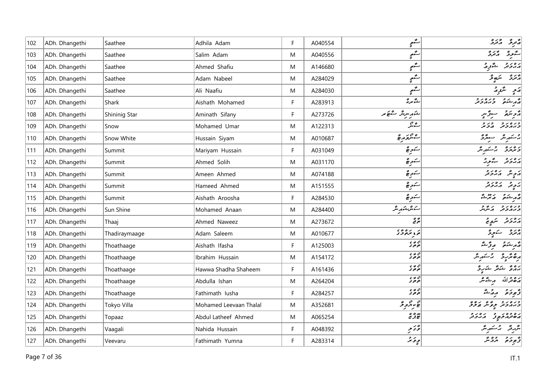| 102 | ADh. Dhangethi | Saathee       | Adhila Adam            | F           | A040554 | رهيج                                     | پور ہ<br>پرترو<br>ۇ مرگز<br>مەس                         |
|-----|----------------|---------------|------------------------|-------------|---------|------------------------------------------|---------------------------------------------------------|
| 103 | ADh. Dhangethi | Saathee       | Salim Adam             | M           | A040556 | ستنمج                                    | سەمرو<br>پور ہ<br>پر تعر                                |
| 104 | ADh. Dhangethi | Saathee       | Ahmed Shafiu           | M           | A146680 | ستنمج                                    | پره پر و<br>ڪُور                                        |
| 105 | ADh. Dhangethi | Saathee       | Adam Nabeel            | M           | A284029 | گھي                                      | پر ہ<br>پرترو<br>سرَجه څر                               |
| 106 | ADh. Dhangethi | Saathee       | Ali Naafiu             | M           | A284030 | اڪھيو                                    | سرور<br>سرور<br>ر<br>در                                 |
| 107 | ADh. Dhangethi | Shark         | Aishath Mohamed        | $\mathsf F$ | A283913 | شەمرىر                                   | و.<br>مگرم شکوی<br>و رە ر د<br>تر پروتر                 |
| 108 | ADh. Dhangethi | Shininig Star | Aminath Sifany         | $\mathsf F$ | A273726 | سقي مر<br>شەر سرىش                       | ړګه سره<br>سىورتىپر                                     |
| 109 | ADh. Dhangethi | Snow          | Mohamed Umar           | M           | A122313 | مەير                                     | و ر ه ر د<br>تر پر ژ تر<br>و ر و<br>در د بر             |
| 110 | ADh. Dhangethi | Snow White    | Hussain Siyam          | M           | A010687 | $rac{\overline{\partial}}{\partial x^2}$ | سىدۇ<br>جر <u>س</u> تمبر میں<br>م                       |
| 111 | ADh. Dhangethi | Summit        | Mariyam Hussain        | $\mathsf F$ | A031049 | سكرع                                     | גם גם 2 - 2 תוקית                                       |
| 112 | ADh. Dhangethi | Summit        | Ahmed Solih            | M           | A031170 | سكرع                                     | رەرو بەدر                                               |
| 113 | ADh. Dhangethi | Summit        | Ameen Ahmed            | M           | A074188 | سكرع                                     | أروش أره رو                                             |
| 114 | ADh. Dhangethi | Summit        | Hameed Ahmed           | M           | A151555 | سكرع                                     | برَدٍ پر در د                                           |
| 115 | ADh. Dhangethi | Summit        | Aishath Aroosha        | $\mathsf F$ | A284530 | سكرع                                     | م المستحق المرحم                                        |
| 116 | ADh. Dhangethi | Sun Shine     | Mohamed Anaan          | M           | A284400 | ر<br>سەنگە <i>ھەم</i> گەر                | ورەرو رېرو                                              |
| 117 | ADh. Dhangethi | Thaaj         | Ahmed Naweez           | M           | A273672 | چ ہ<br>حو                                | أروك تراويح                                             |
| 118 | ADh. Dhangethi | Thadiraymaage | Adam Saleem            | M           | A010677 | ر<br>مو بره دی                           | په ره<br>د ترو<br>سەَرِو                                |
| 119 | ADh. Dhangethi | Thoathaage    | Aishath Ifasha         | F           | A125003 | ج ۾ ج<br>حو                              | ر<br>پر ديگر ج<br>ىرىۋىشە                               |
| 120 | ADh. Dhangethi | Thoathaage    | Ibrahim Hussain        | M           | A154172 | ج ءِ ج<br>حوص                            | بر <sup>م</sup> سە <sub>م</sub> مىگە<br>ەرھەتمەر 2<br>ب |
| 121 | ADh. Dhangethi | Thoathaage    | Hawwa Shadha Shaheem   | F           | A161436 | ج ۽ ج<br>حوص                             | رەپ خۇڭ خۇرۇ                                            |
| 122 | ADh. Dhangethi | Thoathaage    | Abdulla Ishan          | M           | A264204 | ج ۾ ج<br>حوص                             | ەرىشەشر<br>برە تراللە                                   |
| 123 | ADh. Dhangethi | Thoathaage    | Fathimath lusha        | F           | A284257 | ج ۾ ج<br>حو                              | توجدة مصط                                               |
| 124 | ADh. Dhangethi | Tokyo Villa   | Mohamed Leevaan Thalal | M           | A352681 | ە<br>ھېرىزموقە                           | ورەرو پەۋىر بولۇم                                       |
| 125 | ADh. Dhangethi | Topaaz        | Abdul Latheef Ahmed    | M           | A065254 | پر ده<br>ج تر م                          | גם כסגף בגרידה<br>הסטה בתב                              |
| 126 | ADh. Dhangethi | Vaagali       | Nahida Hussain         | $\mathsf F$ | A048392 | ړ ر<br>خ نرم                             | ىتزىر قىر                                               |
| 127 | ADh. Dhangethi | Veevaru       | Fathimath Yumna        | F           | A283314 | حە جە ئىر<br>ئى                          | و ده ده و                                               |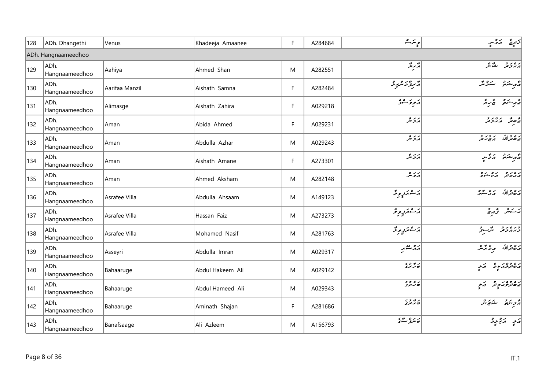| 128 | ADh. Dhangethi         | Venus          | Khadeeja Amaanee | $\mathsf F$ | A284684 | مەيترىشە                                 | زَىرِيَّ   رَكَّ سِ               |
|-----|------------------------|----------------|------------------|-------------|---------|------------------------------------------|-----------------------------------|
|     | ADh. Hangnaameedhoo    |                |                  |             |         |                                          |                                   |
| 129 | ADh.<br>Hangnaameedhoo | Aahiya         | Ahmed Shan       | M           | A282551 | لتجريرهم                                 | رەر ئەش                           |
| 130 | ADh.<br>Hangnaameedhoo | Aarifaa Manzil | Aishath Samna    | F.          | A282484 | ئەبرۇ ئەنگىرى                            | أقرار شوقو المسترجمين             |
| 131 | ADh.<br>Hangnaameedhoo | Alimasge       | Aishath Zahira   | F.          | A029218 | لەَ مِرَةَ سُوَءِ                        | لم من في المحمد المحمد بالمحمد    |
| 132 | ADh.<br>Hangnaameedhoo | Aman           | Abida Ahmed      | F           | A029231 | برىر ھ                                   | أره مدرو                          |
| 133 | ADh.<br>Hangnaameedhoo | Aman           | Abdulla Azhar    | M           | A029243 | برىر ھ                                   | حدة قرالله مجموعه                 |
| 134 | ADh.<br>Hangnaameedhoo | Aman           | Aishath Amane    | F.          | A273301 | ەر ھ                                     | ۇرىشقى مەڭبىر                     |
| 135 | ADh.<br>Hangnaameedhoo | Aman           | Ahmed Aksham     | M           | A282148 | برىر ھ                                   | رەرد رەپ                          |
| 136 | ADh.<br>Hangnaameedhoo | Asrafee Villa  | Abdulla Ahsaam   | M           | A149123 | ە سەئىرى <sub>ي</sub> يەر                | مَصْعَداللّه مَرْكَبْ وَ          |
| 137 | ADh.<br>Hangnaameedhoo | Asrafee Villa  | Hassan Faiz      | M           | A273273 | ىز س <sup>9</sup> ىئرى <sub>ۋ</sub> بورگ | ير سەعدى ئۇ مۇج                   |
| 138 | ADh.<br>Hangnaameedhoo | Asrafee Villa  | Mohamed Nasif    | M           | A281763 | ىز س <sup>9</sup> ىئرى <sub>ۋ</sub> بوڭر | ورەرو شەر                         |
| 139 | ADh.<br>Hangnaameedhoo | Asseyri        | Abdulla Imran    | M           | A029317 | لئەھرىيىمىر                              | أرَّة مِّرَاللَّهُ مِنْ مِنْ مِنْ |
| 140 | ADh.<br>Hangnaameedhoo | Bahaaruge      | Abdul Hakeem Ali | M           | A029142 | ر پر و ،<br>ن <i>ن تر</i> د              | ره ده در کرد                      |
| 141 | ADh.<br>Hangnaameedhoo | Bahaaruge      | Abdul Hameed Ali | M           | A029343 | ر بر و ،<br>ن <i>ه ر</i> گری             | ره وه روتر کمی                    |
| 142 | ADh.<br>Hangnaameedhoo | Bahaaruge      | Aminath Shajan   | F           | A281686 | ر د د ،<br>ن <i>ن</i> برد                | مَّ حِسَنَ مَنْ مَسَوَّةٍ مَسْ    |
| 143 | ADh.<br>Hangnaameedhoo | Banafsaage     | Ali Azleem       | M           | A156793 | ر ره په په<br><i>ه</i> سرگر              | أركمني أرجح ويحر                  |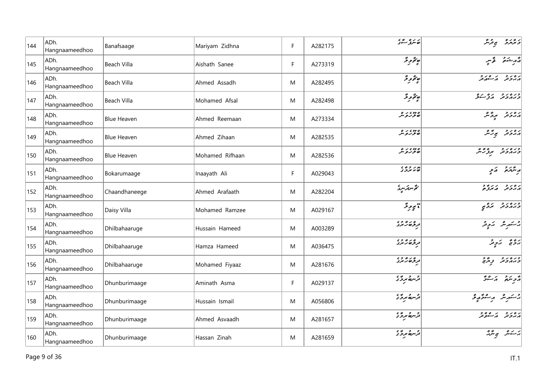| 144 | ADh.<br>Hangnaameedhoo | Banafsaage         | Mariyam Zidhna  | F.        | A282175 | ر ره د پر په<br>ت <i>ه سرو څ</i> ن       | د ۱۵ د ۱۵ د کلیمر            |
|-----|------------------------|--------------------|-----------------|-----------|---------|------------------------------------------|------------------------------|
| 145 | ADh.<br>Hangnaameedhoo | <b>Beach Villa</b> | Aishath Sanee   | F.        | A273319 | په نؤ و ځه                               | أقمر شدة قحسر                |
| 146 | ADh.<br>Hangnaameedhoo | Beach Villa        | Ahmed Assadh    | ${\sf M}$ | A282495 | په نؤ و ځه                               | رەرد رەرد                    |
| 147 | ADh.<br>Hangnaameedhoo | <b>Beach Villa</b> | Mohamed Afsal   | M         | A282498 | ھەمچە بوڭر                               | ورەرو رەپ                    |
| 148 | ADh.<br>Hangnaameedhoo | <b>Blue Heaven</b> | Ahmed Reemaan   | M         | A273334 | ه دد ، ر ه<br><i>ه م</i> حر <i>د</i> مگر | دەر د پرۇش                   |
| 149 | ADh.<br>Hangnaameedhoo | <b>Blue Heaven</b> | Ahmed Zihaan    | M         | A282535 | ه دو پر ره<br>ح <i>ور و</i> س            | دەر دېم پر ش                 |
| 150 | ADh.<br>Hangnaameedhoo | <b>Blue Heaven</b> | Mohamed Rifhaan | M         | A282536 | ه دد ، ر ه<br>ح مر ر ح س                 | ورەرو بورگىر                 |
| 151 | ADh.<br>Hangnaameedhoo | Bokarumaage        | Inaayath Ali    | F.        | A029043 | پر روپر<br><i>ھ</i> لا بمرچری            | ويتهزه وكمعي                 |
| 152 | ADh.<br>Hangnaameedhoo | Chaandhaneege      | Ahmed Arafaath  | M         | A282204 | ىچە سونىز س <sub>ى</sub> رىگە            | ره رو در دو                  |
| 153 | ADh.<br>Hangnaameedhoo | Daisy Villa        | Mohamed Ramzee  | M         | A029167 | ن <sup>ه</sup> پی پوځه                   | ورەرو رەپ                    |
| 154 | ADh.<br>Hangnaameedhoo | Dhilbahaaruge      | Hussain Hameed  | M         | A003289 | ه در ۶ و ۷<br>درمر <i>ه ر</i> بر د       | ج ڪمريش ڪي جو جر             |
| 155 | ADh.<br>Hangnaameedhoo | Dhilbahaaruge      | Hamza Hameed    | M         | A036475 | ە رەپرە د ،<br>تىرى <i>ۋە رى</i> مەي     | پرونځ   پرونډ                |
| 156 | ADh.<br>Hangnaameedhoo | Dhilbahaaruge      | Mohamed Fiyaaz  | ${\sf M}$ | A281676 | ه در ۶ و ۷<br>درمر <i>ه ر</i> بر د       | כנסנכן בכ                    |
| 157 | ADh.<br>Hangnaameedhoo | Dhunburimaage      | Aminath Asma    | F.        | A029137 | و سرچ <sub>مر</sub> ی که                 | أأروبتهم أأرادهم             |
| 158 | ADh.<br>Hangnaameedhoo | Dhunburimaage      | Hussain Ismail  | M         | A056806 | و د د د د د د                            | برسكهر شروع ومحرور           |
| 159 | ADh.<br>Hangnaameedhoo | Dhunburimaage      | Ahmed Asvaadh   | M         | A281657 | و سرچ سرچ <sub>ک</sub>                   | رەرد رەپەد<br>مەردىر مەسوئىر |
| 160 | ADh.<br>Hangnaameedhoo | Dhunburimaage      | Hassan Zinah    | M         | A281659 | و سرچ <sub>مر</sub> و <sub>ک</sub>       | ير سەنئە ئە ئەتەشە           |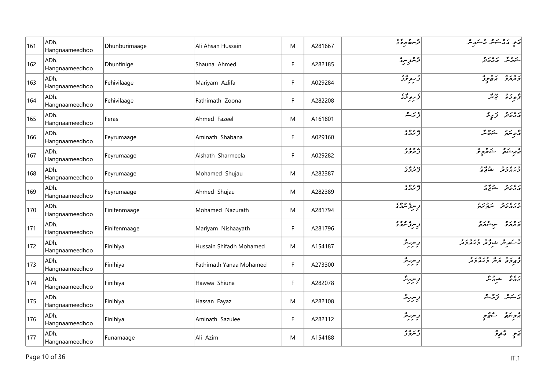| 161 | ADh.<br>Hangnaameedhoo | Dhunburimaage | Ali Ahsan Hussain       | M  | A281667 | قرس تدبري            | ە ئەر ئەسەس بەسەر س                                 |
|-----|------------------------|---------------|-------------------------|----|---------|----------------------|-----------------------------------------------------|
| 162 | ADh.<br>Hangnaameedhoo | Dhunfinige    | Shauna Ahmed            | F. | A282185 | لخرىثرو ببركه        | شەر شەر بەر د                                       |
| 163 | ADh.<br>Hangnaameedhoo | Fehivilaage   | Mariyam Azlifa          | F. | A029284 | ۇروۋ،                | و ده ده در مورد                                     |
| 164 | ADh.<br>Hangnaameedhoo | Fehivilaage   | Fathimath Zoona         | F. | A282208 | ې ر <sub>وڅو</sub> ي | 577700                                              |
| 165 | ADh.<br>Hangnaameedhoo | Feras         | Ahmed Fazeel            | M  | A161801 | ۇبرْش                | پرور تری و                                          |
| 166 | ADh.<br>Hangnaameedhoo | Feyrumaage    | Aminath Shabana         | F. | A029160 | ده و د »<br>توسرو د  | أرج سكرة الشخص يتكر                                 |
| 167 | ADh.<br>Hangnaameedhoo | Feyrumaage    | Aishath Sharmeela       | F. | A029282 | ده و د »<br>توسرو د  | مەر شەھ سىسىرىتى                                    |
| 168 | ADh.<br>Hangnaameedhoo | Feyrumaage    | Mohamed Shujau          | M  | A282387 | ده و د »<br>توسرو د  | وره رو دور<br>وبردونر شو <sub>قع</sub> پر           |
| 169 | ADh.<br>Hangnaameedhoo | Feyrumaage    | Ahmed Shujau            | M  | A282389 | ده و د »<br>توسرو د  | رەر دىر<br>مەرومىي سىقى                             |
| 170 | ADh.<br>Hangnaameedhoo | Finifenmaage  | Mohamed Nazurath        | M  | A281794 | ار سر گروه در آ      | وره رو در درو<br><i>وب</i> ه <i>دو بروند</i> و      |
| 171 | ADh.<br>Hangnaameedhoo | Finifenmaage  | Mariyam Nishaayath      | F. | A281796 | وبىرۇ ئىرگە ئ        | رەرە س <sup>ىغە</sup> رد                            |
| 172 | ADh.<br>Hangnaameedhoo | Finihiya      | Hussain Shifadh Mohamed | M  | A154187 | او مدر پژ<br>سرسر    | و کر سگر سوگر و در در د<br>پر کر سگر سوگر و بر مرفر |
| 173 | ADh.<br>Hangnaameedhoo | Finihiya      | Fathimath Yanaa Mohamed | F. | A273300 | او مىرىدىگە<br>س     | و د د په دره د د                                    |
| 174 | ADh.<br>Hangnaameedhoo | Finihiya      | Hawwa Shiuna            | F. | A282078 | او مىزىدىد<br>س      | برە ئەدەر ئىش                                       |
| 175 | ADh.<br>Hangnaameedhoo | Finihiya      | Hassan Fayaz            | M  | A282108 | او مدرید<br>گرسرم    | برسەش بۇرۇشە                                        |
| 176 | ADh.<br>Hangnaameedhoo | Finihiya      | Aminath Sazulee         | F. | A282112 | او مدر پژ<br>گرس     | أزوينهم سنتجع                                       |
| 177 | ADh.<br>Hangnaameedhoo | Funamaage     | Ali Azim                | M  | A154188 | د ر د ،<br>د سرچ د   | $rac{1}{556}$ $rac{1}{56}$                          |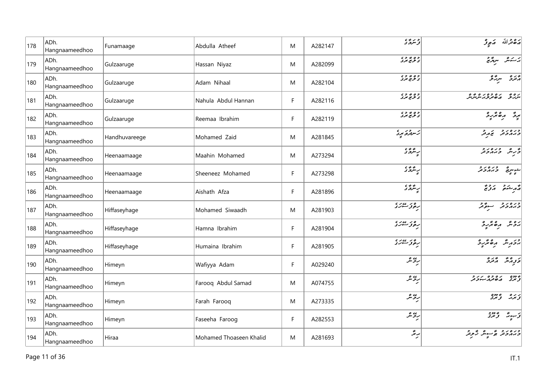| 178 | ADh.<br>Hangnaameedhoo | Funamaage     | Abdulla Atheef          | M  | A282147 | و پر پر پر<br>توسر <del>ی</del> ر بر            | حده قرالله محجوز                                  |
|-----|------------------------|---------------|-------------------------|----|---------|-------------------------------------------------|---------------------------------------------------|
| 179 | ADh.<br>Hangnaameedhoo | Gulzaaruge    | Hassan Niyaz            | M  | A282099 | و ه پر و ء<br><sub>ک</sub> نومځ مو <sub>ک</sub> | برسك سرمج                                         |
| 180 | ADh.<br>Hangnaameedhoo | Gulzaaruge    | Adam Nihaal             | M  | A282104 | و ه پر و ،<br>د نومځ موړ                        | سررمحر<br>ء ر ه<br>مرگر                           |
| 181 | ADh.<br>Hangnaameedhoo | Gulzaaruge    | Nahula Abdul Hannan     | F. | A282116 | و ه پر و ،<br>د نومځ مرد                        | ره وه ره ده.<br>مەھىرىچە ئىرىئرىش<br>سروتخر       |
| 182 | ADh.<br>Hangnaameedhoo | Gulzaaruge    | Reemaa Ibrahim          | F  | A282119 | و ه پر و ،<br>د نومځ مرد                        | برڈ رہ بڑرو                                       |
| 183 | ADh.<br>Hangnaameedhoo | Handhuvareege | Mohamed Zaid            | M  | A281845 | ر سرچر سر پر                                    | ورەرو يەر                                         |
| 184 | ADh.<br>Hangnaameedhoo | Heenaamaage   | Maahin Mohamed          | M  | A273294 | ر پوځ ي<br>په مترنۍ ي                           | أوريثر وبرورد                                     |
| 185 | ADh.<br>Hangnaameedhoo | Heenaamaage   | Sheeneez Mohamed        | F. | A273298 | ر پوځ دي<br>په متر <del>د</del> د               | $\frac{1}{2}$                                     |
| 186 | ADh.<br>Hangnaameedhoo | Heenaamaage   | Aishath Afza            | F. | A281896 | ر پوځ ي<br>په مترنۍ ي                           | أمر المستوج أمروج                                 |
| 187 | ADh.<br>Hangnaameedhoo | Hiffaseyhage  | Mohamed Siwaadh         | M  | A281903 | ە بەر يەر ،<br>رەۋ سەر <sub>ئ</sub>             | ورەر دەر بەر                                      |
| 188 | ADh.<br>Hangnaameedhoo | Hiffaseyhage  | Hamna Ibrahim           | F. | A281904 | ە ئەسەر ئەر                                     | برونگر مقتربر                                     |
| 189 | ADh.<br>Hangnaameedhoo | Hiffaseyhage  | Humaina Ibrahim         | F. | A281905 | رە دېم يەر ،                                    | برذرش رەئرىر                                      |
| 190 | ADh.<br>Hangnaameedhoo | Himeyn        | Wafiyya Adam            | F. | A029240 | ری پر                                           | كر و شهر در در در با                              |
| 191 | ADh.<br>Hangnaameedhoo | Himeyn        | Farooq Abdul Samad      | M  | A074755 | برېڅىش                                          | ره وه بر رو<br>پره ترپر ښوکتر<br>پە دەە<br>تومىرى |
| 192 | ADh.<br>Hangnaameedhoo | Himeyn        | Farah Farooq            | M  | A273335 | بەق بىر                                         | وبره<br>یو دوه<br>تو بوتی                         |
| 193 | ADh.<br>Hangnaameedhoo | Himeyn        | Faseeha Faroog          | F. | A282553 | رېڅىر                                           | تۆسىدى ئەتەتىقى                                   |
| 194 | ADh.<br>Hangnaameedhoo | Hiraa         | Mohamed Thoaseen Khalid | M  | A281693 | برىتىر                                          | ورەرو پ <sub>ەسى</sub> س دېرى                     |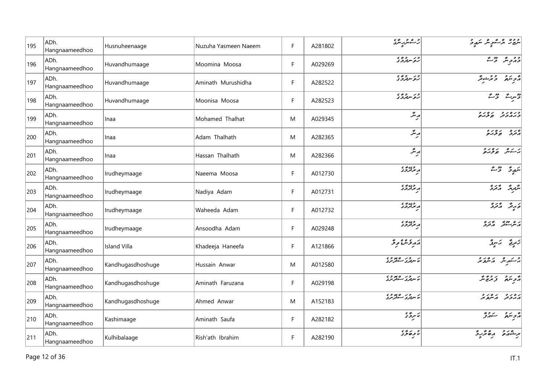| 195 | ADh.<br>Hangnaameedhoo | Husnuheenaage       | Nuzuha Yasmeen Naeem | F.        | A281802 | ر مەش <sub>رىپ</sub> ىترى             | دوء پر محرم شہر           |
|-----|------------------------|---------------------|----------------------|-----------|---------|---------------------------------------|---------------------------|
| 196 | ADh.<br>Hangnaameedhoo | Huvandhumaage       | Moomina Moosa        | F         | A029269 | و ر<br>ره سربرو د                     | دو شهر ده می              |
| 197 | ADh.<br>Hangnaameedhoo | Huvandhumaage       | Aminath Murushidha   | F         | A282522 | و ر<br>ره سربرو د                     | أأرم سكافي والمحر والمحر  |
| 198 | ADh.<br>Hangnaameedhoo | Huvandhumaage       | Moonisa Moosa        | F.        | A282523 | و ر په و په و<br>ر ه سربر و ی         | وسربە ور                  |
| 199 | ADh.<br>Hangnaameedhoo | Inaa                | Mohamed Thalhat      | M         | A029345 | ەرىتر                                 | כנסנכ נסנכ<br>כגמבת הכגם  |
| 200 | ADh.<br>Hangnaameedhoo | Inaa                | Adam Thalhath        | M         | A282365 | مریٹر                                 | وره ره رو<br>پرېزو چوبرو  |
| 201 | ADh.<br>Hangnaameedhoo | Inaa                | Hassan Thalhath      | M         | A282366 | مریٹر                                 | برسەش بودىرو              |
| 202 | ADh.<br>Hangnaameedhoo | Irudheymaage        | Naeema Moosa         | F.        | A012730 | و پره و ،<br>د جونورو د               | سَمِيرٌ حَرْثٌ            |
| 203 | ADh.<br>Hangnaameedhoo | Irudheymaage        | Nadiya Adam          | F.        | A012731 | و پره و ،<br>د جرگر پرې               | شروش أوره                 |
| 204 | ADh.<br>Hangnaameedhoo | Irudheymaage        | Waheeda Adam         | F.        | A012732 | و ده ده و بر<br>در جو تورنو و         | كەر ئەرە                  |
| 205 | ADh.<br>Hangnaameedhoo | Irudheymaage        | Ansoodha Adam        | F         | A029248 | و ده ده و بر<br>در جو تورنو و         | بر ۵ دوم په ۱۶ وره        |
| 206 | ADh.<br>Hangnaameedhoo | <b>Island Villa</b> | Khadeeja Haneefa     | F         | A121866 | روغه على موقى                         | زَمِرِةً   رَسِمَّ        |
| 207 | ADh.<br>Hangnaameedhoo | Kandhugasdhoshuge   | Hussain Anwar        | ${\sf M}$ | A012580 | ر سرچر رہے ہے۔<br>را سرچری سوفرس      |                           |
| 208 | ADh.<br>Hangnaameedhoo | Kandhugasdhoshuge   | Aminath Faruzana     | F.        | A029198 | ر سرور ره پو و ،<br>ما سرفری سستمرمری | أأروسي ومرحمة             |
| 209 | ADh.<br>Hangnaameedhoo | Kandhugasdhoshuge   | Ahmed Anwar          | M         | A152183 | ر<br>رکس ترکو کے فرمزی                | ג סג כ גם גב<br>הגבע השפת |
| 210 | ADh.<br>Hangnaameedhoo | Kashimaage          | Aminath Saufa        | F.        | A282182 | ر<br>ئەبرىرى                          | أثر جريح المستروع         |
| 211 | ADh.<br>Hangnaameedhoo | Kulhibalaage        | Rish'ath Ibrahim     | F.        | A282190 | لزموة قرد                             | برشوره ده نره             |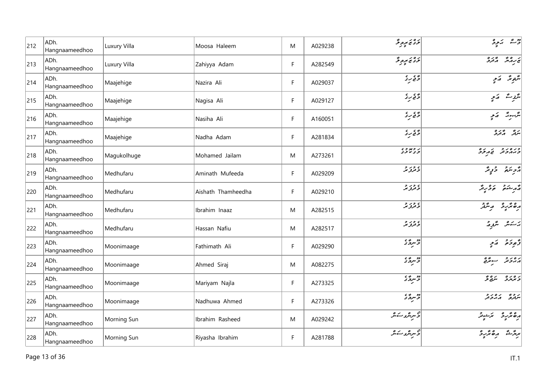| 212 | ADh.<br>Hangnaameedhoo | Luxury Villa       | Moosa Haleem       | M           | A029238 | نړه <sub>نم</sub> <sub>موع</sub> و څ | ا دیگر میگردی<br>ا                       |
|-----|------------------------|--------------------|--------------------|-------------|---------|--------------------------------------|------------------------------------------|
| 213 | ADh.<br>Hangnaameedhoo | Luxury Villa       | Zahiyya Adam       | F.          | A282549 | ئۇي ئىم بىر بەرگە                    | ב הגיה היהם                              |
| 214 | ADh.<br>Hangnaameedhoo | Maajehige          | Nazira Ali         | F.          | A029037 | ا پیچ ر <sub>ئ</sub><br>اقریق سری    | لتنفوش وكمعي                             |
| 215 | ADh.<br>Hangnaameedhoo | Maajehige          | Nagisa Ali         | F.          | A029127 | ء ۽ مريح<br>ح                        | يت <sub>ىقى</sub> ت كەمپ                 |
| 216 | ADh.<br>Hangnaameedhoo | Maajehige          | Nasiha Ali         | F           | A160051 | پرې دي<br>  پرې کورئ                 | لترسيد أكامير                            |
| 217 | ADh.<br>Hangnaameedhoo | Maajehige          | Nadha Adam         | F           | A281834 | پرې دي<br>  پرې کورئ                 | ر په ۱۶۷۴ کېږي.<br>سربگر گرفترن          |
| 218 | ADh.<br>Hangnaameedhoo | Magukolhuge        | Mohamed Jailam     | M           | A273261 | ر ویر و ،<br>تر ی ما لر ی            |                                          |
| 219 | ADh.<br>Hangnaameedhoo | Medhufaru          | Aminath Mufeeda    | F           | A029209 | <sup>ی و</sup> تر تر<br>تر تر تر     | أأزويتهم وتويتر                          |
| 220 | ADh.<br>Hangnaameedhoo | Medhufaru          | Aishath Thamheedha | F.          | A029210 | <sup>ي و</sup> تر تر                 | أما مستوفي المحافي والمحر                |
| 221 | ADh.<br>Hangnaameedhoo | Medhufaru          | Ibrahim Inaaz      | M           | A282515 | ے ور و<br>روتو تر                    | رەپزىر رىتر                              |
| 222 | ADh.<br>Hangnaameedhoo | Medhufaru          | Hassan Nafiu       | ${\sf M}$   | A282517 | <sup>5</sup> ترتر تر                 | ىز سەش سىگروڭ                            |
| 223 | ADh.<br>Hangnaameedhoo | Moonimaage         | Fathimath Ali      | F.          | A029290 | ادو پروند<br>  د سرچرۍ               | وً و د و د کم                            |
| 224 | ADh.<br>Hangnaameedhoo | Moonimaage         | Ahmed Siraj        | M           | A082275 | وه سرچ ی<br>حس                       | أرده روحه المسوحرة                       |
| 225 | ADh.<br>Hangnaameedhoo | Moonimaage         | Mariyam Najla      | F.          | A273325 | وه سرچ ی<br> -                       | سرچ تخر<br>ر ه ر ه<br><del>د</del> بربرگ |
| 226 | ADh.<br>Hangnaameedhoo | Moonimaage         | Nadhuwa Ahmed      | F.          | A273326 | ادو پرېږي<br>اخ                      | ر و پر<br>سربروگ<br>برور و               |
| 227 | ADh.<br>Hangnaameedhoo | Morning Sun        | Ibrahim Rasheed    | ${\sf M}$   | A029242 | ئۇس <sub>ى</sub> تىرى كەنگە          | رەتزىر ترىنوتر                           |
| 228 | ADh.<br>Hangnaameedhoo | <b>Morning Sun</b> | Riyasha Ibrahim    | $\mathsf F$ | A281788 | ا ئۇس <sub>رىقىم</sub> سەنگە         | ىجرەرگە<br>رە ئربە                       |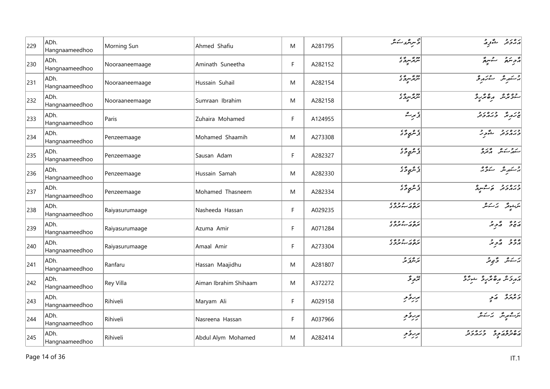| 229 | ADh.<br>Hangnaameedhoo | Morning Sun    | Ahmed Shafiu          | ${\sf M}$ | A281795 | ۇ بىر بىرى كەنگە                          | كرەر دەر ئەر                       |
|-----|------------------------|----------------|-----------------------|-----------|---------|-------------------------------------------|------------------------------------|
| 230 | ADh.<br>Hangnaameedhoo | Nooraaneemaage | Aminath Suneetha      | F.        | A282152 | دو پر<br>سرپر سرچ <sub>ر</sub> ی          | أزجر سرقم فسنستقير                 |
| 231 | ADh.<br>Hangnaameedhoo | Nooraaneemaage | Hussain Suhail        | M         | A282154 | در پر پر دی<br>سر پر سرچ <sub>ک</sub>     | بر مسكر مثل المركز براي            |
| 232 | ADh.<br>Hangnaameedhoo | Nooraaneemaage | Sumraan Ibrahim       | M         | A282158 | جۇيىر پەرى<br>س                           |                                    |
| 233 | ADh.<br>Hangnaameedhoo | Paris          | Zuhaira Mohamed       | F.        | A124955 | بۇ بىر شە                                 | أنج تهريك وره رو                   |
| 234 | ADh.<br>Hangnaameedhoo | Penzeemaage    | Mohamed Shaamih       | M         | A273308 | ې ش <sub>مې</sub> څ <sup>ي</sup>          | ورەر دەر                           |
| 235 | ADh.<br>Hangnaameedhoo | Penzeemaage    | Sausan Adam           | F         | A282327 | ې مر <sub>مو</sub> پر د                   | سەپرىسىش بەردە                     |
| 236 | ADh.<br>Hangnaameedhoo | Penzeemaage    | Hussain Samah         | ${\sf M}$ | A282330 | ې ش <sub>مې</sub> څ <sup>ي</sup>          | بر سکهر شرح مسترد م                |
| 237 | ADh.<br>Hangnaameedhoo | Penzeemaage    | Mohamed Thasneem      | M         | A282334 | ې شمې <sub>و</sub> ژبې                    | ورەرو رەس                          |
| 238 | ADh.<br>Hangnaameedhoo | Raiyasurumaage | Nasheeda Hassan       | F.        | A029235 | ره رحوحه و<br>مرده د سومرو د              | للكرشوش الكاسكانكل                 |
| 239 | ADh.<br>Hangnaameedhoo | Raiyasurumaage | Azuma Amir            | F.        | A071284 | ر ٥ ر _ <i>د و و ٠</i><br>بره ړ ب         | $250 - 250$                        |
| 240 | ADh.<br>Hangnaameedhoo | Raiyasurumaage | Amaal Amir            | F         | A273304 | ر ہ ر ۔ د و و ء<br>مر <i>بو پر جر و</i> ی |                                    |
| 241 | ADh.<br>Hangnaameedhoo | Ranfaru        | Hassan Maajidhu       | M         | A281807 | ر ەر ج<br>مەسمىگە ئىر                     | ىز سەش ئۇ يەش                      |
| 242 | ADh.<br>Hangnaameedhoo | Rey Villa      | Aiman Ibrahim Shihaam | M         | A372272 | تتروقر                                    | أرزوهم المعتربة المستردة           |
| 243 | ADh.<br>Hangnaameedhoo | Rihiveli       | Maryam Ali            | F         | A029158 | ىررى<br>رىر                               | د ه ده کرم                         |
| 244 | ADh.<br>Hangnaameedhoo | Rihiveli       | Nasreena Hassan       | F         | A037966 | ىرىرى بو<br>ئرىر                          | ىكرىشمېرىگە كەسكىلى                |
| 245 | ADh.<br>Hangnaameedhoo | Rihiveli       | Abdul Alym Mohamed    | M         | A282414 | ىررى<br>ترىر تر                           | גם כם גם כגם גב<br>הסתיבה תב בגהבת |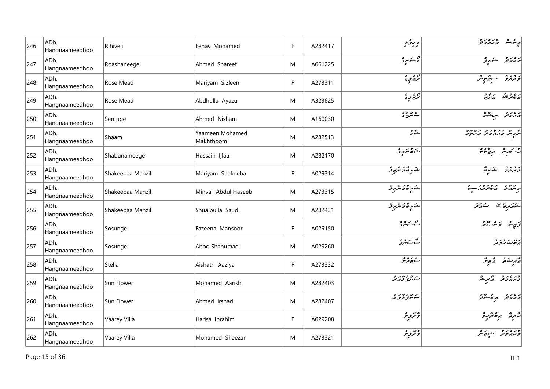| 246 | ADh.<br>Hangnaameedhoo | Rihiveli         | Eenas Mohamed                | F           | A282417 | ىررى<br>رىر                            | برنثر وره دو                                  |
|-----|------------------------|------------------|------------------------------|-------------|---------|----------------------------------------|-----------------------------------------------|
| 247 | ADh.<br>Hangnaameedhoo | Roashaneege      | Ahmed Shareef                | M           | A061225 | ترڪسري                                 | رەرو شەرە                                     |
| 248 | ADh.<br>Hangnaameedhoo | Rose Mead        | Mariyam Sizleen              | F           | A273311 | ص ج ح و ع<br>مريخ ح <sub>و</sub> ع     | و وره<br>سوءح مويثر                           |
| 249 | ADh.<br>Hangnaameedhoo | Rose Mead        | Abdhulla Ayazu               | M           | A323825 | ص ج ح و ع<br>مربع حر ع                 | مَدْهِ مِرْ اللّهِ مَرْمَرَ مِنْ              |
| 250 | ADh.<br>Hangnaameedhoo | Sentuge          | Ahmed Nisham                 | M           | A160030 | ے مر <sub>و</sub> ح ی                  | ره رو سرشوه<br>پرېرو سرشو                     |
| 251 | ADh.<br>Hangnaameedhoo | Shaam            | Yaameen Mohamed<br>Makhthoom | M           | A282513 | ىشۇ                                    | و مه دره دره ده ده.<br>تروینز و پروونز و زمود |
| 252 | ADh.<br>Hangnaameedhoo | Shabunameege     | Hussain Ijlaal               | M           | A282170 | شەھ ئىزىي ك                            | برسكر شروع فرقو                               |
| 253 | ADh.<br>Hangnaameedhoo | Shakeebaa Manzil | Mariyam Shakeeba             | F           | A029314 | شەرە ئەر ئىرى <i>نى</i> بى             | وبروره بذرة                                   |
| 254 | ADh.<br>Hangnaameedhoo | Shakeebaa Manzil | Minval Abdul Haseeb          | M           | A273315 | ىش <i>ەر قۇ</i> ر ھ <sub>ى</sub> بى بى | و مود ده دور د                                |
| 255 | ADh.<br>Hangnaameedhoo | Shakeebaa Manzil | Shuaibulla Saud              | M           | A282431 | شەرە ئەر ھې ئە                         | شهر مدة الله سعد مع                           |
| 256 | ADh.<br>Hangnaameedhoo | Sosunge          | Fazeena Mansoor              | F.          | A029150 | <u>م</u> ئەشرى                         | تو پاڻگ خانگريز ۾                             |
| 257 | ADh.<br>Hangnaameedhoo | Sosunge          | Aboo Shahumad                | M           | A029260 | <u>م سەمىرى</u>                        | پر دو پر و ر و<br>پر ت شه بر <del>و</del> تر  |
| 258 | ADh.<br>Hangnaameedhoo | Stella           | Aishath Aaziya               | $\mathsf F$ | A273332 | <u>ه ۽ وي</u>                          | وكرم شكوته وكالمح وكر                         |
| 259 | ADh.<br>Hangnaameedhoo | Sun Flower       | Mohamed Aarish               | M           | A282403 | ر ه د ور د                             | ورەرو گەرگ                                    |
| 260 | ADh.<br>Hangnaameedhoo | Sun Flower       | Ahmed Irshad                 | M           | A282407 | ر ه د ور د<br>۴۶ تروگونو               | رەرو مەشقىر                                   |
| 261 | ADh.<br>Hangnaameedhoo | Vaarey Villa     | Harisa Ibrahim               | F           | A029208 | عَرَ عَرْ عَرْ                         | أشرقه مقتررة                                  |
| 262 | ADh.<br>Hangnaameedhoo | Vaarey Villa     | Mohamed Sheezan              | M           | A273321 | ۇيمۇقە                                 | ورەرو ھەتمىر                                  |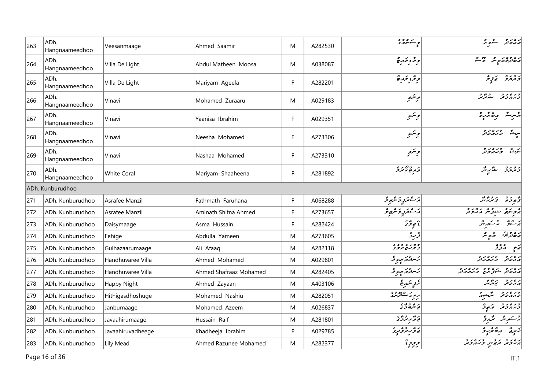| 263 | ADh.<br>Hangnaameedhoo | Veesanmaage        | Ahmed Saamir           | M           | A282530 | ە سەندىرى                                 | ره رو شورو<br>مربروتر شورنر                                         |
|-----|------------------------|--------------------|------------------------|-------------|---------|-------------------------------------------|---------------------------------------------------------------------|
| 264 | ADh.<br>Hangnaameedhoo | Villa De Light     | Abdul Matheen Moosa    | M           | A038087 | وقروخهره                                  | ג 2010 בי מי 2019.<br>ג סינג בקייג - 3 בי                           |
| 265 | ADh.<br>Hangnaameedhoo | Villa De Light     | Mariyam Ageela         | $\mathsf F$ | A282201 | وقروخهره                                  | دەرە    ئەتى ئى                                                     |
| 266 | ADh.<br>Hangnaameedhoo | Vinavi             | Mohamed Zuraaru        | M           | A029183 | ويترو                                     | ورەرو دەر                                                           |
| 267 | ADh.<br>Hangnaameedhoo | Vinavi             | Yaanisa Ibrahim        | F           | A029351 | ويترجر                                    | ومسرت وەمۇرو                                                        |
| 268 | ADh.<br>Hangnaameedhoo | Vinavi             | Neesha Mohamed         | F.          | A273306 | ويتره                                     | و رە ر د<br>تر پروتر<br>سريشگر                                      |
| 269 | ADh.<br>Hangnaameedhoo | Vinavi             | Nashaa Mohamed         | F.          | A273310 | ويترجه                                    | سَرْئَتُہُ<br>و رە ر د<br><i>د ب</i> رگرىر                          |
| 270 | ADh.<br>Hangnaameedhoo | <b>White Coral</b> | Mariyam Shaaheena      | F           | A281892 | ر وه رو<br>ورځ نړن                        | دەرە شەرش                                                           |
|     | ADh. Kunburudhoo       |                    |                        |             |         |                                           |                                                                     |
| 271 | ADh. Kunburudhoo       | Asrafee Manzil     | Fathmath Faruhana      | F           | A068288 | ئەسەئىرى <sub>ي</sub> ئەش <sub>ە</sub> بۇ | وتموضي وترويج                                                       |
| 272 | ADh. Kunburudhoo       | Asrafee Manzil     | Aminath Shifna Ahmed   | F.          | A273657 | ئەسەئىرى <sub>ي</sub> ئەشرىي ئى           | הקיימה בוציית המכת                                                  |
| 273 | ADh. Kunburudhoo       | Daisymaage         | Asma Hussain           | F           | A282424 | ر،<br>پانگ پی تر <sub>ک</sub>             | رُ عَبْرٌ بِرَ سَهْرِ مِرْ                                          |
| 274 | ADh. Kunburudhoo       | Fehige             | Abdulla Yameen         | Μ           | A273605 | ې<br>تور <sub>ک</sub>                     | أرَكَ قَدْ اللَّهُ مُحْرَمِ مِنْ                                    |
| 275 | ADh. Kunburudhoo       | Gulhazaarumaage    | Ali Afaaq              | M           | A282118 | و ه ر پر و پر د<br>د نوربځ برو د          | $\begin{bmatrix} 0 & 0 & 0 \\ 0 & 0 & 0 \\ 0 & 0 & 0 \end{bmatrix}$ |
| 276 | ADh. Kunburudhoo       | Handhuvaree Villa  | Ahmed Mohamed          | M           | A029801 | ئەسەرتۇ سرەپەتتى                          | נפני כנסני<br>גגבע כגגבע                                            |
| 277 | ADh. Kunburudhoo       | Handhuvaree Villa  | Ahmed Shafraaz Mohamed | M           | A282405 | <br>  ئەسەرى بېرە ئى                      | ره ر د مره پر د دره ر د<br>م.ترونر څونو برج و.ت.م.ونر               |
| 278 | ADh. Kunburudhoo       | <b>Happy Night</b> | Ahmed Zayaan           | M           | A403106 | ر و پیرو هی                               | גם ג' ג' בי הריית.<br>הגבית האתיית                                  |
| 279 | ADh. Kunburudhoo       | Hithigasdhoshuge   | Mohamed Nashiu         | M           | A282051 | اره د معدود <del>.</del><br>په د مسرور    | ورەرو شىشەر                                                         |
| 280 | ADh. Kunburudhoo       | Janbumaage         | Mohamed Azeem          | M           | A026837 | ر ه د و و و<br>مخ شری و د                 | ورەرد رو                                                            |
| 281 | ADh. Kunburudhoo       | Javaahirumaage     | Hussain Raif           | M           | A281801 | پر څر چونو ي<br>  پنج ځو پر چر چونو       | بر سکه مشهور محمد و                                                 |
| 282 | ADh. Kunburudhoo       | Javaahiruvadheege  | Khadheeja Ibrahim      | F.          | A029785 | پر څر برگروري<br>  پر گر برگروري          | رَسٍ وَصَرَرٍ وَ                                                    |
| 283 | ADh. Kunburudhoo       | <b>Lily Mead</b>   | Ahmed Razunee Mohamed  | M           | A282377 | مرموج ؟<br>رئيس                           | קסק כן כן כלסק כ<br>ההכת תאית כההכת                                 |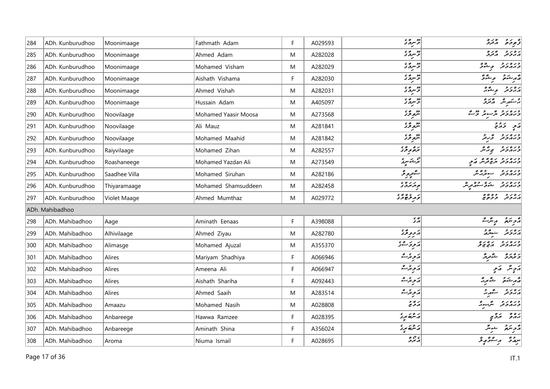| 284 | ADh. Kunburudhoo | Moonimaage    | Fathmath Adam               | F           | A029593 | ادو پروند<br> تر سرچری            | ەرگەر<br>  توجو څخه                                                                                                                                     |
|-----|------------------|---------------|-----------------------------|-------------|---------|-----------------------------------|---------------------------------------------------------------------------------------------------------------------------------------------------------|
| 285 | ADh. Kunburudhoo | Moonimaage    | Ahmed Adam                  | M           | A282028 | دو پرونځ<br>تر سرچنۍ              | ر ه ر و دره<br>مدرو ر مدر                                                                                                                               |
| 286 | ADh. Kunburudhoo | Moonimaage    | Mohamed Visham              | M           | A282029 | ود پرځ ی<br>  د سرچ <sub>ک</sub>  | وره رو در و                                                                                                                                             |
| 287 | ADh. Kunburudhoo | Moonimaage    | Aishath Vishama             | F           | A282030 | دو په په<br>د سرچ د               | مەرشىم وشەۋ                                                                                                                                             |
| 288 | ADh. Kunburudhoo | Moonimaage    | Ahmed Vishah                | M           | A282031 | دد په په<br>د سرچنې               | رەرد بەشر                                                                                                                                               |
| 289 | ADh. Kunburudhoo | Moonimaage    | Hussain Adam                | M           | A405097 | وو<br>د سرچ <sub>ک</sub>          | 2 سەر شەر ئەرد                                                                                                                                          |
| 290 | ADh. Kunburudhoo | Noovilaage    | <b>Mohamed Yaasir Moosa</b> | M           | A273568 | دو په په<br>متر <sub>جو م</sub> و | ورەرو پەر دەم                                                                                                                                           |
| 291 | ADh. Kunburudhoo | Noovilaage    | Ali Mauz                    | M           | A281841 | دد<br>متر <sub>حو</sub> غر        | $rac{2}{5}$ $rac{2}{5}$ $rac{2}{5}$                                                                                                                     |
| 292 | ADh. Kunburudhoo | Noovilaage    | Mohamed Maahid              | M           | A281842 | دد په په<br>سر <sub>گرم</sub> ونو | ورەر د پر                                                                                                                                               |
| 293 | ADh. Kunburudhoo | Raiyvilaage   | Mohamed Zihan               | M           | A282557 | ره<br>بر <sub>گ</sub> ورځۍ        | ورەرو پرگو                                                                                                                                              |
| 294 | ADh. Kunburudhoo | Roashaneege   | Mohamed Yazdan Ali          | M           | A273549 | ترڪسريءَ                          | ورەر د رەپرە مەر                                                                                                                                        |
| 295 | ADh. Kunburudhoo | Saadhee Villa | Mohamed Siruhan             | M           | A282186 | سەمەرە ئ <sup>ۇ</sup>             | وره رو سوره م                                                                                                                                           |
| 296 | ADh. Kunburudhoo | Thiyaramaage  | Mohamed Shamsuddeen         | M           | A282458 | <br>  مورنمرد د                   | ورەرو ئەرە دەرە                                                                                                                                         |
| 297 | ADh. Kunburudhoo | Violet Maage  | Ahmed Mumthaz               | M           | A029772 | ۇ بر ۋە ئ                         | נסנכ כסשם<br>הגבת ככתב                                                                                                                                  |
|     | ADh. Mahibadhoo  |               |                             |             |         |                                   |                                                                                                                                                         |
| 298 | ADh. Mahibadhoo  | Aage          | Aminath Eenaas              | $\mathsf F$ | A398088 | پر ج                              | أأرمن المتحفظ المستراب                                                                                                                                  |
| 299 | ADh. Mahibadhoo  | Alhivilaage   | Ahmed Ziyau                 | M           | A282780 | ەزىرە ۋە                          | גם גד בית<br>הגבע היית                                                                                                                                  |
| 300 | ADh. Mahibadhoo  | Alimasge      | Mohamed Ajuzal              | M           | A355370 | لروبرة                            | כנסנכ נסנס<br>כגמכנג הבאב                                                                                                                               |
| 301 | ADh. Mahibadhoo  | Alires        | Mariyam Shadhiya            | F           | A066946 | أروبره                            | ے تھورنگر<br>ر ه ر ه<br>د بربرگ                                                                                                                         |
| 302 | ADh. Mahibadhoo  | Alires        | Ameena Ali                  | F           | A066947 | أزوبزك                            | أرَجٍ شَرَ أَمْ يَا إِلَيْهِ إِلَيْهِ إِلَيْهِ إِلَيْهِ إِلَيْهِ إِلَيْهِ إِلَيْهِ إِلَيْهِ إِلَيْهِ                                                    |
| 303 | ADh. Mahibadhoo  | Alires        | Aishath Shariha             | F           | A092443 | ر بر بر م                         | ۇ مەشكەتى<br>مەرسىئەمى<br>شەم برگ                                                                                                                       |
| 304 | ADh. Mahibadhoo  | Alires        | Ahmed Saaih                 | M           | A283514 | أرمو بڑے                          | رەرو شهر                                                                                                                                                |
| 305 | ADh. Mahibadhoo  | Amaazu        | Mohamed Nasih               | M           | A028808 | ەردىج                             | ىئرىبىدىر<br>و ر ه ر و<br>و بر پر و تر                                                                                                                  |
| 306 | ADh. Mahibadhoo  | Anbareege     | Hawwa Ramzee                | F           | A028395 | ر ه په سره<br>مرگه سپر            | رە بە<br>برابرى<br>بروم                                                                                                                                 |
| 307 | ADh. Mahibadhoo  | Anbareege     | Aminath Shina               | F           | A356024 | پر شرکته سر <sup>ج</sup>          | أأترشي سيرتكز                                                                                                                                           |
| 308 | ADh. Mahibadhoo  | Aroma         | Niuma Ismail                | F           | A028695 | ړ ده و.<br>د نور                  | $\begin{array}{cc} \bullet & \bullet & \bullet & \bullet \\ \bullet & \bullet & \bullet & \bullet \\ \bullet & \bullet & \bullet & \bullet \end{array}$ |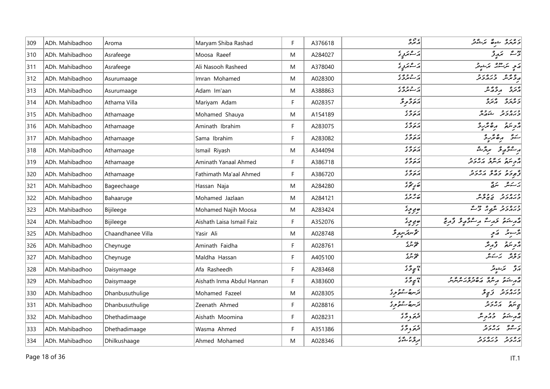| 309 | ADh. Mahibadhoo | Aroma             | Maryam Shiba Rashad       | F           | A376618 | ى مى بو<br>مەنىرى                   | ر وره شرهٔ برشگر                                                                                                                                                                                                                 |
|-----|-----------------|-------------------|---------------------------|-------------|---------|-------------------------------------|----------------------------------------------------------------------------------------------------------------------------------------------------------------------------------------------------------------------------------|
| 310 | ADh. Mahibadhoo | Asrafeege         | Moosa Raeef               | M           | A284027 | پر شه پروپه د                       | دو شهر در در در در در در ایران در در در در در ایران در در در ایران در در دست که در دست در دست در دست در دست در<br>در دست در دست در دست در دست در دست در دست در دست در دست در دست در دست در دست در دست در دست در دست در دست در دس |
| 311 | ADh. Mahibadhoo | Asrafeege         | Ali Nasooh Rasheed        | M           | A378040 | ىر شەنئەر <sub>ى</sub> ئ            |                                                                                                                                                                                                                                  |
| 312 | ADh. Mahibadhoo | Asurumaage        | Imran Mohamed             | M           | A028300 | ر رو و ره د<br>مرسه مرو د           | ם מם כנסנב<br>גבינייני בגגבת                                                                                                                                                                                                     |
| 313 | ADh. Mahibadhoo | Asurumaage        | Adam Im'aan               | M           | A388863 | ر و و پر ،<br>پرستوبری              | ەرەپەر<br>پور ہ<br>پرترنژ                                                                                                                                                                                                        |
| 314 | ADh. Mahibadhoo | Athama Villa      | Mariyam Adam              | $\mathsf F$ | A028357 | برىز ئوقر                           | ر ه ر ه<br><del>د</del> بربرگ<br>پەر ە<br>مەنىرى                                                                                                                                                                                 |
| 315 | ADh. Mahibadhoo | Athamaage         | Mohamed Shauya            | M           | A154189 | ر ر د »<br>د ه <del>ر</del> ر       | و ر ه ر د<br>تر پر تر تر<br>شەرچە ئىر                                                                                                                                                                                            |
| 316 | ADh. Mahibadhoo | Athamaage         | Aminath Ibrahim           | F           | A283075 | ر ر د »<br>پره <del>د</del> د       |                                                                                                                                                                                                                                  |
| 317 | ADh. Mahibadhoo | Athamaage         | Sama Ibrahim              | F           | A283082 | ر ر د »<br>پره <del>ر</del> د       | 5.2000000                                                                                                                                                                                                                        |
| 318 | ADh. Mahibadhoo | Athamaage         | Ismail Riyash             | M           | A344094 | ر ر د »<br>پره <del>ر</del> د       | ر شۇرۇ بىرگى                                                                                                                                                                                                                     |
| 319 | ADh. Mahibadhoo | Athamaage         | Aminath Yanaal Ahmed      | F           | A386718 | ر ر د »<br>پره <del>د</del> د       |                                                                                                                                                                                                                                  |
| 320 | ADh. Mahibadhoo | Athamaage         | Fathimath Ma'aal Ahmed    | F           | A386720 | ر ر د »<br>پره <del>د</del> د       | كر دو روه ده دورو                                                                                                                                                                                                                |
| 321 | ADh. Mahibadhoo | Bageechaage       | Hassan Naja               | M           | A284280 | ر<br>ئەس ئە                         | بركسكر الكرقج                                                                                                                                                                                                                    |
| 322 | ADh. Mahibadhoo | Bahaaruge         | Mohamed Jazlaan           | M           | A284121 | ر و د ء<br>ن <i>ه ر</i> بو د        | ورەرو روپى<br>وبەروىر يى ئۇنىر                                                                                                                                                                                                   |
| 323 | ADh. Mahibadhoo | Bijileege         | Mohamed Najih Moosa       | M           | A283424 | ھ جو پور<br>حرم پور                 | ورەرو شھر وقت                                                                                                                                                                                                                    |
| 324 | ADh. Mahibadhoo | Bijileege         | Aishath Laisa Ismail Faiz | F           | A352076 | ھ بح مور<br>حرم ہ                   | وأرشكتم كرم أمر المستركبون والرمع                                                                                                                                                                                                |
| 325 | ADh. Mahibadhoo | Chaandhanee Villa | Yasir Ali                 | M           | A028748 | ڭۇسترسرە ئە                         | و سرچ <sub>مکم</sub> ر<br>در ملاحق کردگر                                                                                                                                                                                         |
| 326 | ADh. Mahibadhoo | Cheynuge          | Aminath Faidha            | F           | A028761 | ے جو ہ<br>محومتری                   |                                                                                                                                                                                                                                  |
| 327 | ADh. Mahibadhoo | Cheynuge          | Maldha Hassan             | F           | A405100 | ی و ،<br>محم <sup>و</sup> سری       | رەي ئەسەر                                                                                                                                                                                                                        |
| 328 | ADh. Mahibadhoo | Daisymaage        | Afa Rasheedh              | F           | A283468 | ره په پرځ<br>په منځ د               | ر پ <sup>و</sup> پر <sub>شو</sub> ر                                                                                                                                                                                              |
| 329 | ADh. Mahibadhoo | Daisymaage        | Aishath Inma Abdul Hannan | $\mathsf F$ | A383600 | ر<br>پانگ پی پی تر <sub>ک</sub>     | ه در در ۵۶ د ۵۶۵۶۰ و در ۲۶ در ۱۳۶                                                                                                                                                                                                |
| 330 | ADh. Mahibadhoo | Dhanbusuthulige   | Mohamed Fazeel            | M           | A028305 | ر در در در د<br>ترسره شوړي          | ورەرو كېچى                                                                                                                                                                                                                       |
| 331 | ADh. Mahibadhoo | Dhanbusuthulige   | Zeenath Ahmed             | F           | A028816 | ترسره مشهور و<br>ترسره مشهوری       | ي سَمَعَ دَرَ دَرَ                                                                                                                                                                                                               |
| 332 | ADh. Mahibadhoo | Dhethadimaage     | Aishath Moomina           | F           | A028231 | ړ د پر پر پر<br>تره د تر تر         | ومرشكم ومروشر                                                                                                                                                                                                                    |
| 333 | ADh. Mahibadhoo | Dhethadimaage     | Wasma Ahmed               | F           | A351386 | ړ د پر په<br>تره د تر د             | ر ەپ<br>ئ<br>پرور و                                                                                                                                                                                                              |
| 334 | ADh. Mahibadhoo | Dhilkushaage      | Ahmed Mohamed             | M           | A028346 | <sub>قر</sub> و ۾ شگيء <sup>6</sup> | ر <i>סر כ ייח</i> כת<br>הגבת כגהכת                                                                                                                                                                                               |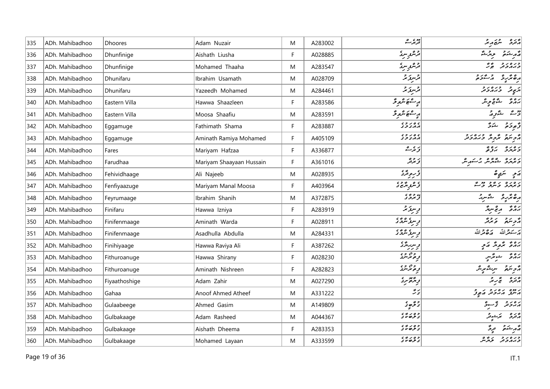| 335 | ADh. Mahibadhoo | <b>Dhoores</b> | Adam Nuzair              | M           | A283002 | دد ،<br>تربر ک                          | تتزيم مرتجه<br>پور ہ<br>پر تعری             |
|-----|-----------------|----------------|--------------------------|-------------|---------|-----------------------------------------|---------------------------------------------|
| 336 | ADh. Mahibadhoo | Dhunfinige     | Aishath Liusha           | F           | A028885 | قرشر ببرء                               | وكرم شكرة والمرمثة                          |
| 337 | ADh. Mahibadhoo | Dhunfinige     | Mohamed Thaaha           | M           | A283547 | قرينگر سرنگه<br>                        | و رە ر د<br><i>د بە</i> گەر<br>چڙ           |
| 338 | ADh. Mahibadhoo | Dhunifaru      | Ibrahim Usamath          | M           | A028709 | قرسر پر تر                              | د شور د<br>مرگ شوه<br>ەرھەترىر <sup>ى</sup> |
| 339 | ADh. Mahibadhoo | Dhunifaru      | Yazeedh Mohamed          | M           | A284461 | لترسور محه                              | و ره ر د<br>تر پر تر تر<br>أترسح فر         |
| 340 | ADh. Mahibadhoo | Eastern Villa  | Hawwa Shaazleen          | $\mathsf F$ | A283586 | وسقة متبوقر                             | $rac{20}{20}$<br>ڪ پ <u>و</u> ٿر            |
| 341 | ADh. Mahibadhoo | Eastern Villa  | Moosa Shaafiu            | M           | A283591 | ار ص <u>قوعت و مح</u>                   | دو مشتر د                                   |
| 342 | ADh. Mahibadhoo | Eggamuge       | Fathimath Shama          | $\mathsf F$ | A283887 | ، ه ر و ،<br>پر پر تر ت                 | تزودة شكر                                   |
| 343 | ADh. Mahibadhoo | Eggamuge       | Aminath Ramiya Mohamed   | F           | A405109 | e o v o c<br>KREE E                     | הכית הכיר כמחכת                             |
| 344 | ADh. Mahibadhoo | Fares          | Mariyam Hafzaa           | $\mathsf F$ | A336877 | ئە ئىر شە                               | رەرە رەپ<br>دىرىرو پەرە                     |
| 345 | ADh. Mahibadhoo | Farudhaa       | Mariyam Shaayaan Hussain | F           | A361016 | ر و بر<br>تر برتر                       | رەرە بەھ ئەسكەش                             |
| 346 | ADh. Mahibadhoo | Fehividhaage   | Ali Najeeb               | M           | A028935 | ای ره ویژه<br><u>افراره و</u> رد        | ړَ په سَوپه ه                               |
| 347 | ADh. Mahibadhoo | Fenfiyaazuge   | Mariyam Manal Moosa      | F           | A403964 | ، ه د پرو،<br>ز سربر پرې                | رەرە رېز دىك                                |
| 348 | ADh. Mahibadhoo | Feyrumaage     | Ibrahim Shanih           | M           | A372875 | در و در د<br>تو بورس                    | رەترىر ئىس                                  |
| 349 | ADh. Mahibadhoo | Finifaru       | Hawwa Izniya             | F           | A283919 | ارسدنه<br>سيس                           |                                             |
| 350 | ADh. Mahibadhoo | Finifenmaage   | Aminath Warda            | F           | A028911 | ر سرگە شر <sup>ى</sup> رى               | أأوسكا وترويح                               |
| 351 | ADh. Mahibadhoo | Finifenmaage   | Asadhulla Abdulla        | M           | A284331 | وسوعدة                                  | مَرْ حَمَّدَاللَّهُ مَّ صَحَّدَاللَّهُ      |
| 352 | ADh. Mahibadhoo | Finihiyaage    | Hawwa Raviya Ali         | F           | A387262 | و سربر پر <sup>ی</sup><br>بر بر بر      | برە پۇ ئۇر كەر                              |
| 353 | ADh. Mahibadhoo | Fithuroanuge   | Hawwa Shirany            | F           | A028230 | ده وه و،<br>وه ترسر                     | ر ہ ء<br>براد ب<br>ے پڑ سر<br>مر            |
| 354 | ADh. Mahibadhoo | Fithuroanuge   | Aminath Nishreen         | $\mathsf F$ | A282823 | وه وه<br>وه مرسر                        | سرڪيوسر<br>ۇ جە ئىدە                        |
| 355 | ADh. Mahibadhoo | Fiyaathoshige  | Adam Zahir               | M           | A027290 | و پر پر<br>تر مربو سر پر                | $\frac{2}{3}$ $\frac{2}{3}$ $\frac{2}{3}$   |
| 356 | ADh. Mahibadhoo | Gahaa          | Anoof Ahmed Atheef       | M           | A331222 | ىزچ                                     | ג ככם גם גב גב.<br>הייער הגבע הפֶל          |
| 357 | ADh. Mahibadhoo | Gulaabeege     | Ahmed Gasim              | M           | A149809 | د و ه<br>د ژه د                         | رەرد ۋىسو                                   |
| 358 | ADh. Mahibadhoo | Gulbakaage     | Adam Rasheed             | M           | A044367 | و و ر پر ۽<br><sub>ک</sub> موڻ <i>س</i> | أمراده المرسومر                             |
| 359 | ADh. Mahibadhoo | Gulbakaage     | Aishath Dheema           | F           | A283353 | و ه ر پر پر<br>د <del>تر</del> ه مړ     | پ <sup>ر</sup> ديگر ج                       |
| 360 | ADh. Mahibadhoo | Gulbakaage     | Mohamed Layaan           | M           | A333599 | وه ر پر د<br>د <del>ن</del> ره مړ       | ورەر دىرى<br>جەمەدىر كەرش                   |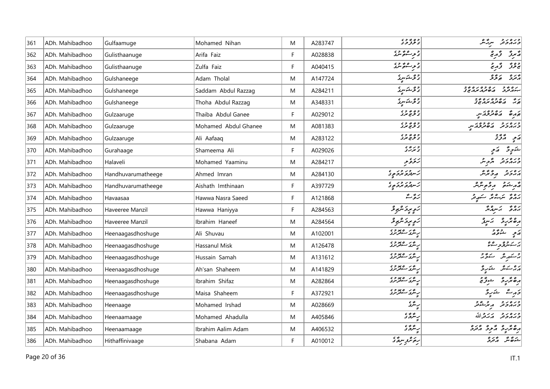| 361 | ADh. Mahibadhoo | Gulfaamuge         | Mohamed Nihan        | M           | A283747 | د ه و و ،<br>د ترتو تر د                       | سررشر<br>و ر ه ر د<br>تر بر بر تر                        |
|-----|-----------------|--------------------|----------------------|-------------|---------|------------------------------------------------|----------------------------------------------------------|
| 362 | ADh. Mahibadhoo | Gulisthaanuge      | Arifa Faiz           | F           | A028838 | د په همځ وي<br>د پوسکوه مرد                    | ترمرج<br>پرېز ته کليمونه<br>مر                           |
|     |                 |                    |                      |             |         |                                                | ج چې په                                                  |
| 363 | ADh. Mahibadhoo | Gulisthaanuge      | Zulfa Faiz           | F           | A040415 | د په موږي<br>  د پور موږ مرد                   | ۇ مەتج                                                   |
| 364 | ADh. Mahibadhoo | Gulshaneege        | Adam Tholal          | M           | A147724 | ر و شکار دیگر<br>د کل مشخصی می                 | یز رہ<br>درگر<br>بجرڅر و                                 |
| 365 | ADh. Mahibadhoo | Gulshaneege        | Saddam Abdul Razzag  | M           | A284211 | د <sub>گر</sub> ىندىس <sub>ى</sub><br>         | נס מי כי נס כס ניס מי בי<br>הינות בנים הוא מי המי מי בי  |
| 366 | ADh. Mahibadhoo | Gulshaneege        | Thoha Abdul Razzag   | M           | A348331 | و و شر سر <sup>ج</sup>                         | ני נפכסנסיבי                                             |
| 367 | ADh. Mahibadhoo | Gulzaaruge         | Thaiba Abdul Ganee   | F           | A029012 | و ه پر و ء<br>ۍ څريخ بوړ                       | أبجرة مقترح ومسر                                         |
| 368 | ADh. Mahibadhoo | Gulzaaruge         | Mohamed Abdul Ghanee | M           | A081383 | و ه پر و ،<br>د نژيخ بود                       | وره روحد ره وه در سر<br>حدروند مصر خارش                  |
| 369 | ADh. Mahibadhoo | Gulzaaruge         | Ali Aafaaq           | M           | A283122 | و ه پر و ،<br>د نژيخ بود                       | $\frac{2}{3} \frac{2}{3} \frac{2}{3}$                    |
| 370 | ADh. Mahibadhoo | Gurahaage          | Shameema Ali         | $\mathsf F$ | A029026 | و ر و ،<br>ی بورگ                              | لمكوفي الكامج                                            |
| 371 | ADh. Mahibadhoo | Halaveli           | Mohamed Yaaminu      | M           | A284217 | ترىخ و                                         | ورەرو ئوچىر                                              |
| 372 | ADh. Mahibadhoo | Handhuvarumatheege | Ahmed Imran          | M           | A284130 | ر سرور ور<br>رسرپره برومړی                     | رەر دەپر                                                 |
| 373 | ADh. Mahibadhoo | Handhuvarumatheege | Aishath Imthinaan    | F           | A397729 | ر سرچر ور<br>رسرچر <sub>ي مرکز جوي</sub>       | مەر شەقى بەر ئاھرىشىر                                    |
| 374 | ADh. Mahibadhoo | Havaasaa           | Hawwa Nasra Saeed    | $\mathsf F$ | A121868 | ر پۇسىگە                                       | رەم ئىر ۋە ئەر                                           |
| 375 | ADh. Mahibadhoo | Haveeree Manzil    | Hawwa Haniyya        | F           | A284563 | ئەھمىيە ئەممىي قە                              | بروء برسمائه                                             |
| 376 | ADh. Mahibadhoo | Haveeree Manzil    | Ibrahim Haneef       | M           | A284564 | ر <sub>َءٍ بردَ مُرْ<sub>بِع</sub> وَ</sub>    | رە ئەر ئىبر                                              |
| 377 | ADh. Mahibadhoo | Heenaagasdhoshuge  | Ali Shuvau           | M           | A102001 | ر پیچه ر ۲۶ و ۲<br>بر متری سونوری              | $rac{222}{100}$ $rac{2}{5}$                              |
| 378 | ADh. Mahibadhoo | Heenaagasdhoshuge  | Hassanul Misk        | M           | A126478 | ر شر ره بو و ،<br>په شر سونترنرۍ               | ىز سەنترى <sub>ۋىچە</sub> ر ق                            |
| 379 | ADh. Mahibadhoo | Heenaagasdhoshuge  | Hussain Samah        | M           | A131612 | ر میگر می برو د<br>بر مترکز مسلومتری           | چرىسى سىۋچ                                               |
| 380 | ADh. Mahibadhoo | Heenaagasdhoshuge  | Ah'san Shaheem       | M           | A141829 | ر پیمر مر و و و<br>بر متری سونتوری             | رەك ئىر ئى                                               |
| 381 | ADh. Mahibadhoo | Heenaagasdhoshuge  | Ibrahim Shifaz       | M           | A282864 | ار پیمرے میروء<br>ابر متری سوفرمر <sub>ی</sub> | ە ھەترىرى<br>بر ھەترىرى<br>ے وگ <sup>ی</sup><br>مشوقر می |
| 382 | ADh. Mahibadhoo | Heenaagasdhoshuge  | Maisa Shaheem        | F           | A372921 | ر پېژو د ده ده د                               |                                                          |
| 383 | ADh. Mahibadhoo | Heenaage           | Mohamed Irshad       | M           | A028669 | ر سر پر                                        | وره رو د ورود<br>وبردونر بربرشونر                        |
| 384 | ADh. Mahibadhoo | Heenaamaage        | Mohamed Ahadulla     | M           | A405846 | ارپژوي                                         | ورەرو پرتەللە                                            |
| 385 | ADh. Mahibadhoo | Heenaamaage        | Ibrahim Aalim Adam   | M           | A406532 | ر پڙو ۽<br>په                                  | رە ئەر ئە ئەر ئەندە                                      |
| 386 | ADh. Mahibadhoo | Hithaffinivaage    | Shabana Adam         | F           | A010012 | رۇ ئروپىرۇ ئ                                   | شەڭ ئەرە                                                 |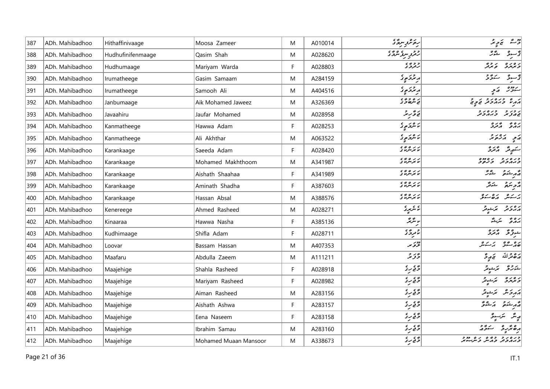| 387 | ADh. Mahibadhoo | Hithaffinivaage   | Moosa Zameer          | M           | A010014 | رەڭروپىر <u>ە؟</u>                    | الترميحه<br>ىج جەنتىر                            |
|-----|-----------------|-------------------|-----------------------|-------------|---------|---------------------------------------|--------------------------------------------------|
| 388 | ADh. Mahibadhoo | Hudhufinifenmaage | Qasim Shah            | M           | A028620 | ا د و سره عدد و د م                   | ستذر<br>وسبار<br>ر                               |
| 389 | ADh. Mahibadhoo | Hudhumaage        | Mariyam Warda         | F           | A028803 | و و د د<br>رکورۍ                      | ر ه ر ه<br><del>و</del> بوبرو<br>ر و ر<br>ح برتر |
| 390 | ADh. Mahibadhoo | Irumatheege       | Gasim Samaam          | M           | A284159 | ېر بر دې<br>بر بر دې                  | چ<br>تر سرچ<br>سەۋە                              |
| 391 | ADh. Mahibadhoo | Irumatheege       | Samooh Ali            | M           | A404516 | ېر بر دې<br>بر بر دې                  | استعصر المجمع                                    |
| 392 | ADh. Mahibadhoo | Janbumaage        | Aik Mohamed Jaweez    | M           | A326369 | ر ه د و »<br>تع سرحه تر د             |                                                  |
| 393 | ADh. Mahibadhoo | Javaahiru         | Jaufar Mohamed        | M           | A028958 | ئە ئۇ س <sup>ىر</sup>                 | נ כנים ניסים<br>המציע במחבת                      |
| 394 | ADh. Mahibadhoo | Kanmatheege       | Hawwa Adam            | F           | A028253 | برويري                                | ر ہ ء<br>پر پر تو<br>پور ہ<br>مرتون              |
| 395 | ADh. Mahibadhoo | Kanmatheege       | Ali Akhthar           | M           | A063522 | بر عربي تحريج                         | أوسم أورد و                                      |
| 396 | ADh. Mahibadhoo | Karankaage        | Saeeda Adam           | $\mathsf F$ | A028420 | ر ر ه و ،<br>ما <del>ب</del> رمبرنا د | سَمرِ مَرَّ مَرَّ مَرَّ مَرَّ مَرَّ مَرَّ مِرْ   |
| 397 | ADh. Mahibadhoo | Karankaage        | Mohamed Makhthoom     | M           | A341987 | ر ر ه و د ،<br>ما مرس د د             | כנסנכ נסמם<br>כגמבת כנסב                         |
| 398 | ADh. Mahibadhoo | Karankaage        | Aishath Shaahaa       | F           | A341989 | ر ر ه و و ،<br>ما مرس                 | و ديده شود.<br>د مشور شود                        |
| 399 | ADh. Mahibadhoo | Karankaage        | Aminath Shadha        | F           | A387603 | ر ر ه و ،<br>ما <del>ب</del> ر س      | أأدم المحمد المستوفر                             |
| 400 | ADh. Mahibadhoo | Karankaage        | Hassan Absal          | M           | A388576 | ر ر ه و ،<br>ما <del>ب</del> ر س      | بر كىشى مەھ كىلى                                 |
| 401 | ADh. Mahibadhoo | Kenereege         | Ahmed Rasheed         | M           | A028271 | ى ئەيدى<br>مامىرىيو ي                 | دەرو گرېئونر                                     |
| 402 | ADh. Mahibadhoo | Kinaaraa          | Hawwa Nasha           | F           | A385136 | بويترند                               | رەپ ئىر                                          |
| 403 | ADh. Mahibadhoo | Kudhimaage        | Shifla Adam           | F           | A028711 | د د و ء<br>ما تورد د                  | شوژگر<br>ەرگەر                                   |
| 404 | ADh. Mahibadhoo | Loovar            | Bassam Hassan         | M           | A407353 | دور<br>مور سر                         | ە ئەشقى<br>برسەپىر                               |
| 405 | ADh. Mahibadhoo | Maafaru           | Abdulla Zaeem         | M           | A111211 | په رحمه<br><del>ر</del> تو تنر        | حقة الله تجديده                                  |
| 406 | ADh. Mahibadhoo | Maajehige         | Shahla Rasheed        | F           | A028918 | ر ده در ده<br>تر بی مرک               | التوركي المرتفوض                                 |
| 407 | ADh. Mahibadhoo | Maajehige         | Mariyam Rasheed       | F           | A028982 | ی ء<br>5 فع مر د                      | رەرە بەشەر<br><i>دىن</i> ەركى بەشەر              |
| 408 | ADh. Mahibadhoo | Maajehige         | Aiman Rasheed         | M           | A283156 | یز ج<br>قرقع سر تر                    | كمركر كمرشوقر                                    |
| 409 | ADh. Mahibadhoo | Maajehige         | Aishath Ashwa         | F           | A283157 | ی ء<br>قرقع سر تح                     | و<br>مگر شوی کرشوی                               |
| 410 | ADh. Mahibadhoo | Maajehige         | Eena Naseem           | F           | A283158 | ی ء<br>قرقع سر تح                     | ر پڻر گريا پڻو                                   |
| 411 | ADh. Mahibadhoo | Maajehige         | Ibrahim Samau         | M           | A283160 | ی ی می<br>ترقع مر <sub>ک</sub>        | وە ئۈرۈ<br>سەدە                                  |
| 412 | ADh. Mahibadhoo | Maajehige         | Mohamed Muaan Mansoor | M           | A338673 | ی ء ر ء<br>ترقع سر تر                 | כנסג כ כשים גם מכ<br>כגובבת כולית בית-יב         |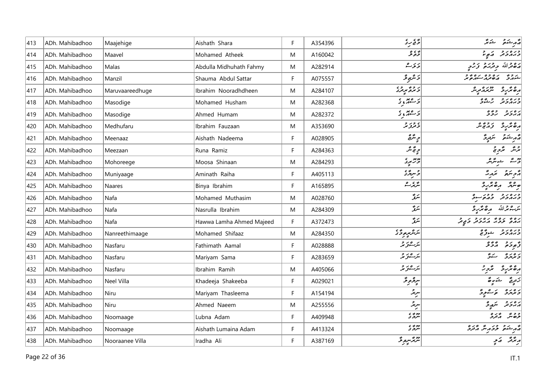| 413 | ADh. Mahibadhoo | Maajehige       | Aishath Shara            | F         | A354396 | لځ چې دي.<br> خلص سر               | م ديدة من من المحدد المحدد بن المحدد المحدد المحدد المحدد المحدد المحدد المحدد المحدد المحدد المحدد المحدد الم<br>المحدد المحدد المحدد المحدد المحدد المحدد المحدد المحدد المحدد المحدد المحدد المحدد المحدد المحدد المحدد المحد |
|-----|-----------------|-----------------|--------------------------|-----------|---------|------------------------------------|----------------------------------------------------------------------------------------------------------------------------------------------------------------------------------------------------------------------------------|
| 414 | ADh. Mahibadhoo | Maavel          | Mohamed Atheek           | ${\sf M}$ | A160042 | ر د ه<br>ترونو                     | כנסנכ גב                                                                                                                                                                                                                         |
| 415 | ADh. Mahibadhoo | Malas           | Abdulla Midhuhath Fahmy  | M         | A282914 | ئە ئەر <u>م</u>                    | وصدالله وقربره وكرو                                                                                                                                                                                                              |
| 416 | ADh. Mahibadhoo | Manzil          | Shauma Abdul Sattar      | F         | A075557 | ئەنگە بۇ                           | ر و په ده وه ره د و د<br>شوهر در هغره سومرو پر                                                                                                                                                                                   |
| 417 | ADh. Mahibadhoo | Maruvaareedhuge | Ibrahim Nooradhdheen     | M         | A284107 | پر چې په چې د<br>  چې پېڅوننې په پ | תפית כ בניפנית                                                                                                                                                                                                                   |
| 418 | ADh. Mahibadhoo | Masodige        | Mohamed Husham           | ${\sf M}$ | A282368 | ىر ھېچە ئ                          | ورور و در دو                                                                                                                                                                                                                     |
| 419 | ADh. Mahibadhoo | Masodige        | Ahmed Humam              | M         | A282372 | ر معر ،<br>تر سهر دی               | ره رو و وه                                                                                                                                                                                                                       |
| 420 | ADh. Mahibadhoo | Medhufaru       | Ibrahim Fauzaan          | M         | A353690 | <sup>ي و</sup> تر تر<br>تر تر تر   | مەھەر بەلىمى بەلىر                                                                                                                                                                                                               |
| 421 | ADh. Mahibadhoo | Meenaaz         | Aishath Nadeema          | F         | A028905 | جریٹرچ                             | و<br>مەستەمى سىرىگى                                                                                                                                                                                                              |
| 422 | ADh. Mahibadhoo | Meezaan         | Runa Ramiz               | F         | A284363 | جەنچىگر                            | ا پرېش پر پر دي<br>ابريش پر پر                                                                                                                                                                                                   |
| 423 | ADh. Mahibadhoo | Mohoreege       | Moosa Shinaan            | M         | A284293 | پوسر م<br>  خرم میرو               | وجر ش <sub>گر</sub><br>مرسم                                                                                                                                                                                                      |
| 424 | ADh. Mahibadhoo | Muniyaage       | Aminath Raiha            | F         | A405113 | د سرگری<br>تر سرگری                | أرمز<br>بمەرجى                                                                                                                                                                                                                   |
| 425 | ADh. Mahibadhoo | <b>Naares</b>   | Binya Ibrahim            | F         | A165895 | متزبر عه                           | رەپزېر<br>ەسەر                                                                                                                                                                                                                   |
| 426 | ADh. Mahibadhoo | Nafa            | Mohamed Muthasim         | ${\sf M}$ | A028760 | سَرَدٌ                             | 0 122 21012<br>22012 22012                                                                                                                                                                                                       |
| 427 | ADh. Mahibadhoo | Nafa            | Nasrulla Ibrahim         | ${\sf M}$ | A284309 | ىترتمە                             | ىئربە چراللە مەھەمگەر بى                                                                                                                                                                                                         |
| 428 | ADh. Mahibadhoo | Nafa            | Hawwa Lamha Ahmed Majeed | F         | A372473 | سَرَوٌ                             |                                                                                                                                                                                                                                  |
| 429 | ADh. Mahibadhoo | Nanreethimaage  | Mohamed Shifaaz          | M         | A284350 | ئىر شرىيە مەدىبى<br>سىر شرىيە      | ورەرو ئىرۇم                                                                                                                                                                                                                      |
| 430 | ADh. Mahibadhoo | Nasfaru         | Fathimath Aamal          | F         | A028888 | ىئەت ئەستىر                        | وً و دو و و و دو و                                                                                                                                                                                                               |
| 431 | ADh. Mahibadhoo | Nasfaru         | Mariyam Sama             | F         | A283659 | ىئەر ھۇر جە                        | رەرە بەي                                                                                                                                                                                                                         |
| 432 | ADh. Mahibadhoo | Nasfaru         | Ibrahim Ramih            | M         | A405066 | ىئەر 2 يەر                         | ە ھېمزىرى<br>م<br>برور                                                                                                                                                                                                           |
| 433 | ADh. Mahibadhoo | Neel Villa      | Khadeeja Shakeeba        | F         | A029021 | ىرىۋە ئ <sup>ۇ</sup>               | رَ ورِجَّ<br>رَ ورِجَّ                                                                                                                                                                                                           |
| 434 | ADh. Mahibadhoo | Niru            | Mariyam Thasleema        | F         | A154194 | سرچر                               | رەرە<br>دىرىرى ئ <i>ە</i> شرىرى                                                                                                                                                                                                  |
| 435 | ADh. Mahibadhoo | Niru            | Ahmed Naeem              | ${\sf M}$ | A255556 | سرپر                               | أرور و سمدو                                                                                                                                                                                                                      |
| 436 | ADh. Mahibadhoo | Noomaage        | Lubna Adam               | F         | A409948 | ود پر پر<br>سرچ ی                  | وویژ پژوره                                                                                                                                                                                                                       |
| 437 | ADh. Mahibadhoo | Noomaage        | Aishath Lumaina Adam     | F         | A413324 | وو پر پر<br>سرچر <sub>ک</sub>      | ومرشو وورش ودو                                                                                                                                                                                                                   |
| 438 | ADh. Mahibadhoo | Nooraanee Villa | Iradha Ali               | F         | A387169 | تر پژ <sub>سم و</sub> دَ           | ويرتز الكامير                                                                                                                                                                                                                    |
|     |                 |                 |                          |           |         |                                    |                                                                                                                                                                                                                                  |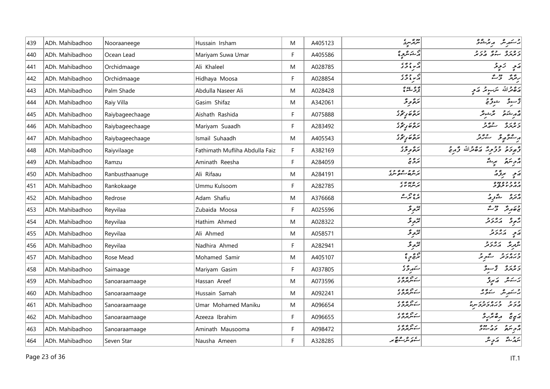| 439 | ADh. Mahibadhoo | Nooraaneege     | Hussain Irsham                 | M  | A405123 | دو په په<br>مربر س <sub>و</sub>                                                                                       | برسكريش وبريقتي                             |
|-----|-----------------|-----------------|--------------------------------|----|---------|-----------------------------------------------------------------------------------------------------------------------|---------------------------------------------|
| 440 | ADh. Mahibadhoo | Ocean Lead      | Mariyam Suwa Umar              | F. | A405586 | م شهر معرب <b>ي</b> محمد المحمد المحمد المحمد المحمد المحمد المحمد المحمد المحمد المحمد المحمد المحمد المحمد المحمد ا | נים כי כדי כניב<br>בינונים היפ וביני        |
| 441 | ADh. Mahibadhoo | Orchidmaage     | Ali Khaleel                    | M  | A028785 |                                                                                                                       | ړې زېږد                                     |
| 442 | ADh. Mahibadhoo | Orchidmaage     | Hidhaya Moosa                  | F. | A028854 |                                                                                                                       | روژه دره                                    |
| 443 | ADh. Mahibadhoo | Palm Shade      | Abdulla Naseer Ali             | M  | A028428 | و و دي ه<br>برگر شو و                                                                                                 | مَةَ قَدَاللّهُ مَدَبّةٍ مَدْ مَدّةٍ        |
| 444 | ADh. Mahibadhoo | Raiy Villa      | Gasim Shifaz                   | M  | A342061 | برە وڭر                                                                                                               | $\frac{2}{3}$ $\frac{6}{3}$                 |
| 445 | ADh. Mahibadhoo | Raiybageechaage | Aishath Rashida                | F  | A075888 | بره د په ده د<br>پرهونه <sub>د ک</sub> ر                                                                              | مەر ئىسى ئىلىنى ئىشى ئى                     |
| 446 | ADh. Mahibadhoo | Raiybageechaage | Mariyam Suaadh                 | F  | A283492 | بره د په ده د<br>پرهونه <sub>د پ</sub> هڅو                                                                            | ر ه ر ه<br><del>ر</del> بربرگر<br>ر 2 پر تر |
| 447 | ADh. Mahibadhoo | Raiybageechaage | Ismail Suhaadh                 | M  | A405543 | رە ر<br>ئىرەھ <sub>كې</sub> رى                                                                                        | ەر ھۇر ھەر ھەر                              |
| 448 | ADh. Mahibadhoo | Raiyvilaage     | Fathimath Mufliha Abdulla Faiz | F. | A382169 | برە و دًى                                                                                                             | وتجوحه ووويم وكافرالله ومربح                |
| 449 | ADh. Mahibadhoo | Ramzu           | Aminath Reesha                 | F. | A284059 | بر و ح<br>مرچ م                                                                                                       | أأدوسكم المحمد المحمد                       |
| 450 | ADh. Mahibadhoo | Ranbusthaanuge  | Ali Rifaau                     | M  | A284191 | ر و و و ه و ،<br>بر سره سوه سرد                                                                                       | أوسم بروه                                   |
| 451 | ADh. Mahibadhoo | Rankokaage      | Ummu Kulsoom                   | F  | A282785 | ر ٥ پر <i>٤ ٥</i><br>برس <i>٧ ٧ ي</i>                                                                                 | ,,,,,,,,,<br><b>,,,,,</b> ,,,,              |
| 452 | ADh. Mahibadhoo | Redrose         | Adam Shafiu                    | M  | A376668 | <sup>ی ہ م</sup> ی ہے                                                                                                 | شَدَّوِ هُ<br>پر رہ<br>پر تر تر             |
| 453 | ADh. Mahibadhoo | Reyvilaa        | Zubaida Moosa                  | F  | A025596 | تتره قر                                                                                                               | دومثر<br>ح ئەمرىگر<br>ئ                     |
| 454 | ADh. Mahibadhoo | Reyvilaa        | Hathim Ahmed                   | M  | A028322 | عرّه قر                                                                                                               | پرور و<br>بڑ <sub>ھو</sub> ڑ                |
| 455 | ADh. Mahibadhoo | Reyvilaa        | Ali Ahmed                      | M  | A058571 | ترُهِ قُرْ                                                                                                            | أە ئەرەر                                    |
| 456 | ADh. Mahibadhoo | Reyvilaa        | Nadhira Ahmed                  | F. | A282941 | تروڈ                                                                                                                  | ىئرىر مەددىر                                |
| 457 | ADh. Mahibadhoo | Rose Mead       | Mohamed Samir                  | M  | A405107 |                                                                                                                       | و ره ر د<br><i>و پر</i> و تر<br>ستگرىر      |
| 458 | ADh. Mahibadhoo | Saimaage        | Mariyam Gasim                  | F. | A037805 | ستهردى                                                                                                                | تۇسىۋ<br>ر ه ر ه<br><del>ر</del> بربر ژ     |
| 459 | ADh. Mahibadhoo | Sanoaraamaage   | Hassan Areef                   | M  | A073596 | ر ج ء ۽ ۽<br>سوپرچ ي                                                                                                  | ىزىكەش كەيپرى                               |
| 460 | ADh. Mahibadhoo | Sanoaraamaage   | Hussain Samah                  | M  | A092241 | ر <i>ہے ۔</i><br>سوپر پر د                                                                                            | برسكهر شروه                                 |
| 461 | ADh. Mahibadhoo | Sanoaraamaage   | Umar Mohamed Maniku            | M  | A096654 | ر ج ع و و ۽<br>ستر مگرچ ي                                                                                             | כני כנסניכנית                               |
| 462 | ADh. Mahibadhoo | Sanoaraamaage   | Azeeza Ibrahim                 | F  | A096655 | ر ۾ پر پر ۽<br>سوئين پڻ                                                                                               | أربيءَ أرە يزير                             |
| 463 | ADh. Mahibadhoo | Sanoaraamaage   | Aminath Mausooma               | F. | A098472 | ر جوړې د <sup>ه</sup>                                                                                                 | ى ھەسبىرى<br>أرمز يتمده                     |
| 464 | ADh. Mahibadhoo | Seven Star      | Nausha Ameen                   | F  | A328285 | ، رەپ ھ<br>سوھ مىرىسكون <mark>ى</mark> بىر                                                                            | سَمَدٌ مَ سَرَ سَرَ                         |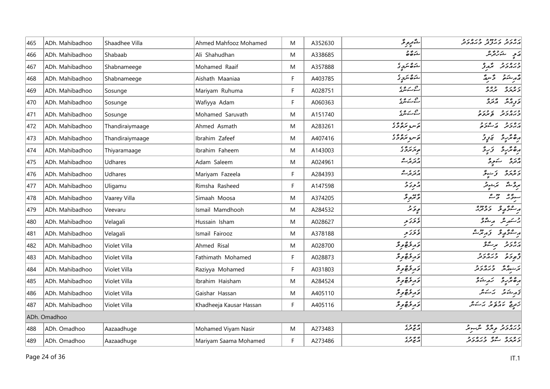| 465 | ADh. Mahibadhoo | Shaadhee Villa  | Ahmed Mahfooz Mohamed   | M         | A352630 | ئەھمەر ئەر<br>ئەمەر                    | ג ס ג כ ג כ ה כ ג ס ג כ<br>  ה ג כ ב , כ ג נ ג כ ג ה כ ב ר ב ר ג |
|-----|-----------------|-----------------|-------------------------|-----------|---------|----------------------------------------|------------------------------------------------------------------|
| 466 | ADh. Mahibadhoo | Shabaab         | Ali Shahudhan           | M         | A338685 | $\frac{2}{3}$                          | أەكمى ئىشرىقرىش                                                  |
| 467 | ADh. Mahibadhoo | Shabnameege     | Mohamed Raaif           | M         | A357888 | شەھ سرىي ئى                            | ورەرد په دو                                                      |
| 468 | ADh. Mahibadhoo | Shabnameege     | Aishath Maaniaa         | F         | A403785 | لىدە ئىرىپى<br>شۇھىئرى <sub>چە</sub> ئ | و سرچ<br>و مر شو د<br>مر                                         |
| 469 | ADh. Mahibadhoo | Sosunge         | Mariyam Ruhuma          | F         | A028751 | <u>مرىمە يو ،</u>                      | ر ه ر ه<br><del>د</del> بربرگ<br>و ه و.<br>بوبر <del>و</del>     |
| 470 | ADh. Mahibadhoo | Sosunge         | Wafiyya Adam            | F         | A060363 | <u>م</u> مەكەندى                       | ئەبۇر قەشر<br>ەردە                                               |
| 471 | ADh. Mahibadhoo | Sosunge         | Mohamed Saruvath        | M         | A151740 | تنجيسكرهري                             | و ر ه ر د<br>د بر پر تر<br>تر 7 ر 7<br>څو برو <i>م</i>           |
| 472 | ADh. Mahibadhoo | Thandiraiymaage | Ahmed Asmath            | ${\sf M}$ | A283261 | ئۆسىدىمۇرىي                            | ەر ھەر د<br>ر ە ر ج<br>م.ئر <del>د</del> تر                      |
| 473 | ADh. Mahibadhoo | Thandiraiymaage | Ibrahim Zafeef          | M         | A407416 | پر مره و <sup>پر</sup> ه               | رە ئۈر ئى ئ                                                      |
| 474 | ADh. Mahibadhoo | Thiyaramaage    | Ibrahim Faheem          | M         | A143003 | ر ر د د د<br>مواتر پر تر د             | دە ئەرە<br>تورٍو                                                 |
| 475 | ADh. Mahibadhoo | <b>Udhares</b>  | Adam Saleem             | M         | A024961 | ە ئەرىئە ھ                             | پەرە<br>مەنىرى<br>سەرد                                           |
| 476 | ADh. Mahibadhoo | <b>Udhares</b>  | Mariyam Fazeela         | F         | A284393 | د ر ، م<br>مرمر ک                      | ر ه ر ه<br><del>ر</del> بربرگ<br>ۇ سىدۇ                          |
| 477 | ADh. Mahibadhoo | Uligamu         | Rimsha Rasheed          | F         | A147598 | رمور د                                 | برده یهٔ<br>بمرسوقر                                              |
| 478 | ADh. Mahibadhoo | Vaarey Villa    | Simaah Moosa            | M         | A374205 | ە يە<br>قەتىرە بەقتى                   | سەۋر<br>دو مع                                                    |
| 479 | ADh. Mahibadhoo | Veevaru         | Ismail Mamdhooh         | M         | A284532 | <sub>حو</sub> ءَ تمرُ                  | بر عرور و دوره                                                   |
| 480 | ADh. Mahibadhoo | Velagali        | Hussain Isham           | M         | A028627 | ءرر<br> ویختو                          | برسكريش وينقو                                                    |
| 481 | ADh. Mahibadhoo | Velagali        | Ismail Fairooz          | M         | A378188 | ءربر                                   | وحوصي ورجمت                                                      |
| 482 | ADh. Mahibadhoo | Violet Villa    | Ahmed Risal             | M         | A028700 | ئەرىۋە بۇ ئە                           | رەرو برگۇ                                                        |
| 483 | ADh. Mahibadhoo | Violet Villa    | Fathimath Mohamed       | F         | A028873 | ءَ ٻر ڏھ عر ٿُ                         | و رە ر د<br>تر پر تر تر<br>ۇ بور د                               |
| 484 | ADh. Mahibadhoo | Violet Villa    | Raziyya Mohamed         | F         | A031803 | ءَ مرځو هو ځه                          | و ره ر و<br><i>و پر</i> و تر<br>بر سور پر<br>سر                  |
| 485 | ADh. Mahibadhoo | Violet Villa    | Ibrahim Haisham         | M         | A284524 | ءَ مرځو هو ځه                          | رە ئرىر ئىرىشى                                                   |
| 486 | ADh. Mahibadhoo | Violet Villa    | Gaishar Hassan          | M         | A405110 | ءَ ٻر ڏھ عر ٿُ                         | تورىشى ئەسكىل                                                    |
| 487 | ADh. Mahibadhoo | Violet Villa    | Khadheeja Kausar Hassan | F.        | A405116 | ءَ ٻر ڦوھ ۾ ڦُ                         | ئەيدى ئەم ئەس ئەسكەش                                             |
|     | ADh. Omadhoo    |                 |                         |           |         |                                        |                                                                  |
| 488 | ADh. Omadhoo    | Aazaadhuge      | Mohamed Viyam Nasir     | M         | A273483 | پر بر د بر<br>  پر سخ تر پر            | כנסנב פוצב יצייית                                                |
| 489 | ADh. Omadhoo    | Aazaadhuge      | Mariyam Saama Mohamed   | F.        | A273486 | ږ د و ،<br>د ځ تر ی                    | رەرە مەس 1000 دەر<br>5 يومرى سىرى 1000 كى                        |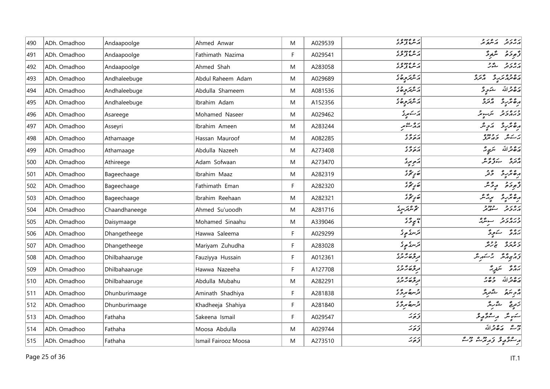| 490 | ADh. Omadhoo | Andaapoolge   | Ahmed Anwar          | M  | A029539 | ر ۵ ۶۰ وه ۵<br> پرسره بوموړ                   | بر 2 پر د<br>پروژو                                    |
|-----|--------------|---------------|----------------------|----|---------|-----------------------------------------------|-------------------------------------------------------|
| 491 | ADh. Omadhoo | Andaapoolge   | Fathimath Nazima     | F. | A029541 | ر ۵ ۶۶ و ۵<br>د سره بو مرد                    | د څو څو<br>سَّرْهُ رَ                                 |
| 492 | ADh. Omadhoo | Andaapoolge   | Ahmed Shah           | M  | A283058 | ر ۵ ۶۰ وه ۵<br> پرسره بوموړ                   | برويرو<br>حدثر                                        |
| 493 | ADh. Omadhoo | Andhaleebuge  | Abdul Raheem Adam    | M  | A029689 | پر عربر و ۽                                   | ره وه ر<br>په ه تربر د<br>پور ہ<br>پرترنز             |
| 494 | ADh. Omadhoo | Andhaleebuge  | Abdulla Shameem      | M  | A081536 | پر ټرې په دې                                  | برە تراللە<br>ڪوو                                     |
| 495 | ADh. Omadhoo | Andhaleebuge  | Ibrahim Adam         | M  | A152356 | ر مرتز پر د <sup>ه</sup>                      | پور ہ<br>مرکزو<br>ېر ھې تر په د                       |
| 496 | ADh. Omadhoo | Asareege      | Mohamed Naseer       | M  | A029462 | ئەسئە يېرى                                    | و ر ه ر د<br><del>و</del> پر پر تر<br>ىئەسبەتر        |
| 497 | ADh. Omadhoo | Asseyri       | Ibrahim Ameen        | M  | A283244 | ر ە ي <sub>ى</sub> م                          | رەتمەر ئەربىر                                         |
| 498 | ADh. Omadhoo | Athamaage     | Hassan Mauroof       | M  | A082285 | ر ر د »<br>د ه د د                            | برسەيىتە<br>ر و دوه<br>تر پر بو                       |
| 499 | ADh. Omadhoo | Athamaage     | Abdulla Nazeeh       | M  | A273408 | ر ر د »<br>پره د د                            | صكائله<br>سَمَعٍ بُرُ                                 |
| 500 | ADh. Omadhoo | Athireege     | Adam Sofwaan         | M  | A273470 | <br> د هوموړي<br>                             | په ره<br>درگر<br>ىبەد ۋىتر                            |
| 501 | ADh. Omadhoo | Bageechaage   | Ibrahim Maaz         | M  | A282319 | ر<br>صی گوی                                   | ە ھەترىر <sup>ە</sup><br>یژ پژ<br>تر فر               |
| 502 | ADh. Omadhoo | Bageechaage   | Fathimath Eman       | F  | A282320 | ے پر پچ<br>م                                  | وتبوختى برقش                                          |
| 503 | ADh. Omadhoo | Bageechaage   | Ibrahim Reehaan      | M  | A282321 | ے پر پڑی<br> صح پہ                            | ە ھەترىر <sup>ە</sup><br>ىبرىر مىر                    |
| 504 | ADh. Omadhoo | Chaandhaneege | Ahmed Su'uoodh       | M  | A281716 | ىچە ئىرتى <i>رىنى</i><br>م                    | پروژو<br>ر د د د<br>سسوړ تعر                          |
| 505 | ADh. Omadhoo | Daisymaage    | Mohamed Sinaahu      | M  | A339046 | پی پی ژ<br>  پی پی ژ <sub>ژ</sub>             | و ر ه ر د<br>د بر پر تر<br>سەمئرىر                    |
| 506 | ADh. Omadhoo | Dhangetheege  | Hawwa Saleema        | F  | A029299 | <br>  ترسمه مح د                              | ر ه پر<br>پروگ<br>سەَجەدً                             |
| 507 | ADh. Omadhoo | Dhangetheege  | Mariyam Zuhudha      | F  | A283028 | ترسر مو د                                     | ح 2 تەگە<br>سى مەگە<br>ر ه ر ه<br><del>ر</del> بربرگر |
| 508 | ADh. Omadhoo | Dhilbahaaruge | Fauziyya Hussain     | F. | A012361 | ه در ۶ و ۷<br>درمر <i>ه ر</i> بو <sub>ک</sub> | برسەمەرىش<br>ۇ ئەم بەر ئى                             |
| 509 | ADh. Omadhoo | Dhilbahaaruge | Hawwa Nazeeha        | F  | A127708 | و در ۶ و ۷<br>ترنژه رنجری                     | رە پە                                                 |
| 510 | ADh. Omadhoo | Dhilbahaaruge | Abdulla Mubahu       | M  | A282291 | ه د ۶ و ۲<br>ترنون ر بر د                     | 202<br>صصرالله                                        |
| 511 | ADh. Omadhoo | Dhunburimaage | Aminath Shadhiya     | F  | A281838 | و سره مرد و<br>ترسره مرد و                    | ړګر سرچ<br>ستگورگر                                    |
| 512 | ADh. Omadhoo | Dhunburimaage | Khadheeja Shahiya    | F  | A281840 | و<br>ترسم <i>ه برد</i> د                      | ترَ مَدِيَّحَ<br>شتەر بۇ                              |
| 513 | ADh. Omadhoo | Fathaha       | Sakeena Ismail       | F  | A029547 | ىر بەر<br>قرەبەر                              | سەر پىتىر<br>ەرسىۋەپەيج                               |
| 514 | ADh. Omadhoo | Fathaha       | Moosa Abdulla        | M  | A029744 | ترەپر                                         | وحث مَ صَعْرَاللَّهُ                                  |
| 515 | ADh. Omadhoo | Fathaha       | Ismail Fairooz Moosa | M  | A273510 | ىر بەر<br>قرەبەر                              | ر موځمړي زېږي ده ځ                                    |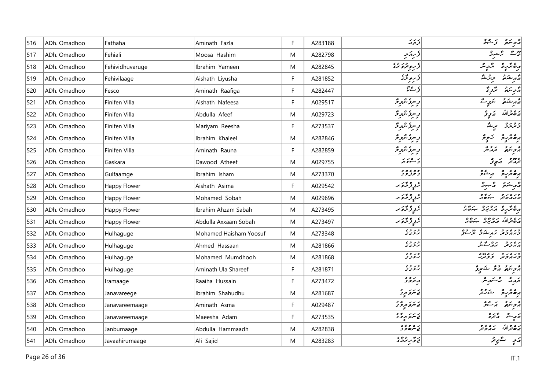| 516 | ADh. Omadhoo | Fathaha             | Aminath Fazla          | F         | A283188 | زەنر                                        | لأحر يئرة<br>تر شەتۇ                       |
|-----|--------------|---------------------|------------------------|-----------|---------|---------------------------------------------|--------------------------------------------|
| 517 | ADh. Omadhoo | Fehiali             | Moosa Hashim           | ${\sf M}$ | A282798 | ۇ بەرىجە                                    | ورم ر<br>در شور                            |
| 518 | ADh. Omadhoo | Fehividhuvaruge     | Ibrahim Yameen         | ${\sf M}$ | A282845 | انې په وروه<br>کرېږونونونونو                | ە ھېڭرىر<br>ب<br>ېژ <sub>چ</sub> بر        |
| 519 | ADh. Omadhoo | Fehivilaage         | Aishath Liyusha        | F         | A281852 | ا در موځۍ<br><u>ارب</u>                     | و مر ديگر دي.<br>مر<br>عروثر مشكر          |
| 520 | ADh. Omadhoo | Fesco               | Aminath Raafiga        | F         | A282447 | ې ده په                                     | أروسي<br>بُرُّمُوِيَّ                      |
| 521 | ADh. Omadhoo | Finifen Villa       | Aishath Nafeesa        | F         | A029517 | اربىردىموقه                                 | و ديدة من سياسة المستقر                    |
| 522 | ADh. Omadhoo | Finifen Villa       | Abdulla Afeef          | ${\sf M}$ | A029723 | وسرؤ مثعرقه                                 | صقعرالله<br>ەزىۋ                           |
| 523 | ADh. Omadhoo | Finifen Villa       | Mariyam Reesha         | F         | A273537 | اربىردىموقه                                 | دەرە برىگە                                 |
| 524 | ADh. Omadhoo | Finifen Villa       | Ibrahim Khaleel        | ${\sf M}$ | A282846 | وببرؤ مثندوقر                               | رەپرىر زېږو                                |
| 525 | ADh. Omadhoo | Finifen Villa       | Aminath Rauna          | F         | A282859 | وسرڈ شروعً                                  | أأرمزهم<br>ىردىتر                          |
| 526 | ADh. Omadhoo | Gaskara             | Dawood Atheef          | M         | A029755 | ى سەرىمىر                                   | پروو د چور<br>ترم <sup>ور</sup> مصر        |
| 527 | ADh. Omadhoo | Gulfaamge           | Ibrahim Isham          | ${\sf M}$ | A273370 | وه پره پ<br>د ترتر تر                       | ەر ھەترىر <i>2</i><br>برشەر                |
| 528 | ADh. Omadhoo | <b>Happy Flower</b> | Aishath Asima          | F         | A029542 | ئەر ۋىۋە ئىر                                | ورمشكا والمسوفر                            |
| 529 | ADh. Omadhoo | Happy Flower        | Mohamed Sobah          | M         | A029696 | ئ <sub>ە</sub> پە ئۇ ئۇ ئەر                 | وره رو دره و                               |
| 530 | ADh. Omadhoo | <b>Happy Flower</b> | Ibrahim Ahzam Sabah    | M         | A273495 | ئەر ۋىۋە ئىر                                |                                            |
| 531 | ADh. Omadhoo | Happy Flower        | Abdulla Axxaam Sobah   | M         | A273497 | رژو ژ ژ پر                                  | رە دالله مەم دە دە                         |
| 532 | ADh. Omadhoo | Hulhaguge           | Mohamed Haisham Yoosuf | M         | A273348 | و ر و ،<br>ری ی                             | ورەر دېر خوشو دە دە                        |
| 533 | ADh. Omadhoo | Hulhaguge           | Ahmed Hassaan          | M         | A281866 | و ر و ،<br>ری ی                             | رەرد رەپ                                   |
| 534 | ADh. Omadhoo | Hulhaguge           | Mohamed Mumdhooh       | M         | A281868 | و ر و ،<br>ری ی                             | כנסנכ נסכבס<br><i>כג</i> ובט בכט <i>ג</i>  |
| 535 | ADh. Omadhoo | Hulhaguge           | Aminath Ula Shareef    | F         | A281871 | و ر و ،<br>رنو د د                          | أأوسم أرقم خبرو                            |
| 536 | ADh. Omadhoo | Iramaage            | Raaiha Hussain         | F         | A273472 | ە ئەچە                                      | بمديد برخيره                               |
| 537 | ADh. Omadhoo | Janavareege         | Ibrahim Shahudhu       | ${\sf M}$ | A281687 | ئے سَرَ تَد سِرِ زَ                         |                                            |
| 538 | ADh. Omadhoo | Janavareemaage      | Aminath Asma           | F         | A029487 | <br>  يې سرچ سرچ د                          |                                            |
| 539 | ADh. Omadhoo | Janavareemaage      | Maeesha Adam           | F         | A273535 | ئے مترکھ سرچ کی                             | پر ہ<br>مرکز<br>  تەرەپىتە                 |
| 540 | ADh. Omadhoo | Janbumaage          | Abdulla Hammaadh       | M         | A282838 | ر ه د و و<br>نح سرچ تر د                    | ەھىراللە<br>ر ه ۶ و<br>برد <del>ر</del> تر |
| 541 | ADh. Omadhoo | Javaahirumaage      | Ali Sajid              | ${\sf M}$ | A283283 | پر څر پر چري<br>  پنج مر پر چر <sub>ک</sub> | أەسمج ستىمبوقر                             |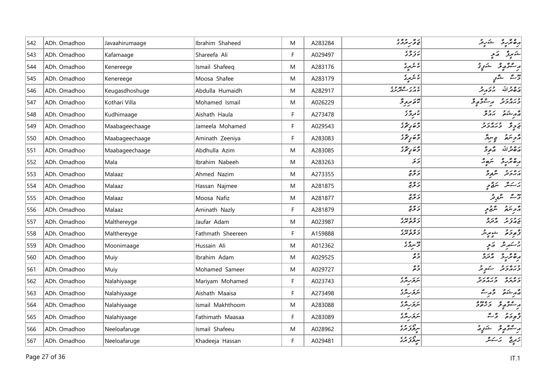| 542 | ADh. Omadhoo | Javaahirumaage | Ibrahim Shaheed   | M  | A283284 | پر څر پر چري<br>  پنج مر پر چر <sub>چ</sub> | مشکور فر<br>پخ<br>5, 50, 6                             |
|-----|--------------|----------------|-------------------|----|---------|---------------------------------------------|--------------------------------------------------------|
| 543 | ADh. Omadhoo | Kafamaage      | Shareefa Ali      | F. | A029497 | ر ر د د<br>ما تو <del>ر</del> د             | ىشەپرۇ<br>ئ<br>ەكىپىيە                                 |
| 544 | ADh. Omadhoo | Kenereege      | Ismail Shafeeq    | M  | A283176 | ى ئەرىرى<br>مامىرىمورى                      | وستوفيو<br>شَدَوٍ تَرُ                                 |
| 545 | ADh. Omadhoo | Kenereege      | Moosa Shafee      | M  | A283179 | ى ئىرىرى<br>ما مىرىپرى                      | $\frac{2}{\sqrt{2}}$<br>مشكور                          |
| 546 | ADh. Omadhoo | Keugasdhoshuge | Abdulla Humaidh   | M  | A282917 | ه ۶ د ر ۵ پر ۶ و<br>ما در کامی سوفر مرک     | بر25 اللّه<br>برىز مە                                  |
| 547 | ADh. Omadhoo | Kothari Villa  | Mohamed Ismail    | M  | A026229 | بىز<br>ئامۇبىرە ب <sup>ى</sup> ر            | ورەرو بەشۇر ئو                                         |
| 548 | ADh. Omadhoo | Kudhimaage     | Aishath Haula     | F  | A273478 | و دی<br>ما تورد د                           | ړه شو پروو                                             |
| 549 | ADh. Omadhoo | Maabageechaage | Jameela Mohamed   | F  | A029543 | پور په په<br>د ه <sub>پو</sub> ند           | ار در در در در د                                       |
| 550 | ADh. Omadhoo | Maabageechaage | Aminath Zeeniya   | F  | A283083 | د ده د پره<br>د هم پر                       | أأدجن المستمر                                          |
| 551 | ADh. Omadhoo | Maabageechaage | Abdhulla Azim     | M  | A283085 | ه ر<br>د ځونون                              | وگەنو ۋ<br>ەھىراللە                                    |
| 552 | ADh. Omadhoo | Mala           | Ibrahim Nabeeh    | M  | A283263 | ترىخە                                       | ە ھەترىر <i>ە</i><br>سرّەر                             |
| 553 | ADh. Omadhoo | Malaaz         | Ahmed Nazim       | M  | A273355 | ىر ئۇيج                                     | پروترو<br>سَّفجو                                       |
| 554 | ADh. Omadhoo | Malaaz         | Hassan Najmee     | M  | A281875 | ترڅې                                        | برسەيىتى<br>سرقح تح                                    |
| 555 | ADh. Omadhoo | Malaaz         | Moosa Nafiz       | M  | A281877 | ر پوه                                       | در محمد شمر شر                                         |
| 556 | ADh. Omadhoo | Malaaz         | Aminath Nazly     | F  | A281879 | ر ژه<br>د ژه                                | يثر چ محر<br>أثرمر معر                                 |
| 557 | ADh. Omadhoo | Malthereyge    | Jaufar Adam       | M  | A023987 | ر ه د د د د<br><del>د</del> نوحو بور        | ر ور د<br>ق <i>ه و</i> بر<br>پور ہ<br>مرکزو            |
| 558 | ADh. Omadhoo | Malthereyge    | Fathmath Sheereen | F. | A159888 | ر ه ، د، ،<br><del>د</del> نوج مرد          | وٌجوحهُ<br>شومریٹر<br><u>==</u> =                      |
| 559 | ADh. Omadhoo | Moonimaage     | Hussain Ali       | M  | A012362 | وو پرځ ی<br>څنگرچنۍ                         | ج <sub>ەسى</sub> مەر بىر                               |
| 560 | ADh. Omadhoo | Muiy           | Ibrahim Adam      | M  | A029525 | و ه<br>ترخم                                 | دەندە<br>پور ہ<br>پرترو                                |
| 561 | ADh. Omadhoo | Muiy           | Mohamed Sameer    | M  | A029727 | و ه<br>حرم                                  | و ره ر د<br>و پرو تر<br>سەچەتىر                        |
| 562 | ADh. Omadhoo | Nalahiyaage    | Mariyam Mohamed   | F  | A023743 | يرۇرېژى                                     | و ره ر د<br>تر پر ژنر<br>ر ه ر ه<br><del>د</del> بربرگ |
| 563 | ADh. Omadhoo | Nalahiyaage    | Aishath Maaisa    | F  | A273498 | يزويرون                                     | ۇرىئىق قەرش                                            |
| 564 | ADh. Omadhoo | Nalahiyaage    | Ismail Makhthoom  | M  | A283088 | ىر ئەرەرى<br>مىر ئىرىرى                     |                                                        |
| 565 | ADh. Omadhoo | Nalahiyaage    | Fathimath Maasaa  | F  | A283089 | يرىز بەر                                    | 2, 3, 2, 3                                             |
| 566 | ADh. Omadhoo | Neeloafaruge   | Ismail Shafeeu    | M  | A028962 | سرچونو پر د                                 | بر عثر پر دیگر در                                      |
| 567 | ADh. Omadhoo | Neeloafaruge   | Khadeeja Hassan   | F  | A029481 | سرچونو پر دي<br>پيپٽونو پري                 | تزميرقى الاستانلل                                      |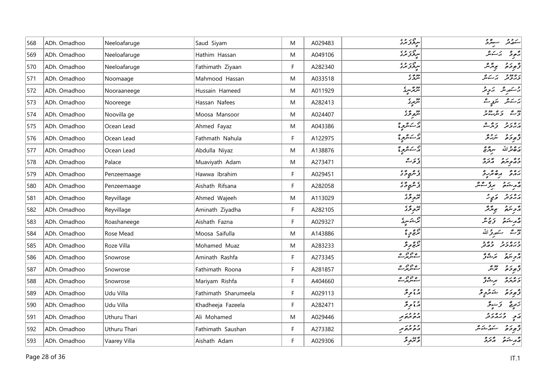| 568 | ADh. Omadhoo | Neeloafaruge | Saud Siyam           | M  | A029483 | ەر دې<br>سرچونو بىرى                      | سەھەر ئەسىر ئەر                        |
|-----|--------------|--------------|----------------------|----|---------|-------------------------------------------|----------------------------------------|
| 569 | ADh. Omadhoo | Neeloafaruge | Hathim Hassan        | Μ  | A049106 | ەر دې<br>سرچونو بىرى                      | بَرْمِ وْسَيَسْر                       |
| 570 | ADh. Omadhoo | Neeloafaruge | Fathimath Ziyaan     | F  | A282340 | سرچونو پر د<br>سرچونو پر <sub>د</sub>     | أزودتم بمرشر                           |
| 571 | ADh. Omadhoo | Noomaage     | Mahmood Hassan       | M  | A033518 | وو پر پر<br>سرچ <sub>ک</sub>              | رەددو برسەر                            |
| 572 | ADh. Omadhoo | Nooraaneege  | Hussain Hameed       | Μ  | A011929 | دور پر پر<br>سربر سرپر                    | يز سكر هي الكرج فر                     |
| 573 | ADh. Omadhoo | Nooreege     | Hassan Nafees        | M  | A282413 | دد<br>مترسمي <sup>ى</sup>                 | برسكش التربي شواشه                     |
| 574 | ADh. Omadhoo | Noovilla ge  | Moosa Mansoor        | M  | A024407 | دد<br>متر <sub>جو م</sub> حر <sub>ى</sub> | ور مع دو دو د                          |
| 575 | ADh. Omadhoo | Ocean Lead   | Ahmed Fayaz          | M  | A043386 | لأسكرهموه                                 | رەرد زېژ                               |
| 576 | ADh. Omadhoo | Ocean Lead   | Fathmath Nahula      | F. | A122975 | ىر سەئىرى <sub>د</sub> ى                  | أوالمحج وتحريحه المتراكير              |
| 577 | ADh. Omadhoo | Ocean Lead   | Abdulla Niyaz        | M  | A138876 | ى<br>مەسەئىرىيە ج                         | <mark>برە ت</mark> راللە<br>سردج       |
| 578 | ADh. Omadhoo | Palace       | Muaviyath Adam       | M  | A273471 | ۇ ئەسىر                                   | پور ہ<br>پر تر ژ<br>وړځ پرو            |
| 579 | ADh. Omadhoo | Penzeemaage  | Hawwa Ibrahim        | F  | A029451 | ې مر <sub>مو</sub> په <sup>ه</sup>        |                                        |
| 580 | ADh. Omadhoo | Penzeemaage  | Aishath Rifsana      | F  | A282058 | ې مر <sub>سم</sub> بر ځ                   | ۇرىشۇ برۇشىر                           |
| 581 | ADh. Omadhoo | Reyvillage   | Ahmed Wajeeh         | M  | A113029 | ر،<br>تر <sub>حو</sub> تری                | رەر ئەرج                               |
| 582 | ADh. Omadhoo | Reyvillage   | Aminath Ziyadha      | F  | A282105 | ر،<br>تر <sub>حو</sub> تر د               | أأروسكم بمجاري                         |
| 583 | ADh. Omadhoo | Roashaneege  | Aishath Fazna        | F  | A029327 | ترىشەسرى                                  | مەر شىم ئىق تىلىگى<br>مەر شىم ئىق      |
| 584 | ADh. Omadhoo | Rose Mead    | Moosa Saifulla       | M  | A143886 | ە ە<br>ئىرىنى جەنج                        | 3 هُ سَمْرِ قِرْ اللّه                 |
| 585 | ADh. Omadhoo | Roze Villa   | Mohamed Muaz         | Μ  | A283233 | ە ە ھ<br>ئىرىج ھ <sub>ر</sub> ىڅە         | ورەر د دەر<br><i>دى</i> رمەنر دەنر     |
| 586 | ADh. Omadhoo | Snowrose     | Aminath Rashfa       | F  | A273345 | <u>ه چې ه</u>                             | ىرشەر<br>لمجمحه يتمدحه                 |
| 587 | ADh. Omadhoo | Snowrose     | Fathimath Roona      | F  | A281857 | <u> مرمرم م</u>                           | جو پھر<br>و گهو څه ده<br>د             |
| 588 | ADh. Omadhoo | Snowrose     | Mariyam Rishfa       | F  | A404660 | <u>ه ۵</u> ۵ ه                            | ر ه ر ه<br><del>و</del> بربرو<br>ىرىشۇ |
| 589 | ADh. Omadhoo | Udu Villa    | Fathimath Sharumeela | F  | A029113 | وجمعي محر                                 | وحجوحهم<br>شە ترىر ئۇ                  |
| 590 | ADh. Omadhoo | Udu Villa    | Khadheeja Fazeela    | F  | A282471 | وديموقر                                   | ئرىرىم<br>ئ<br>ۇ سىدۇ                  |
| 591 | ADh. Omadhoo | Uthuru Thari | Ali Mohamed          | Μ  | A029446 | د د در<br>ره بره بر                       | أمامي ورورد                            |
| 592 | ADh. Omadhoo | Uthuru Thari | Fathimath Saushan    | F  | A273382 | ارد در<br>اره بره بر                      | سەر ئەيشە ئىر<br>و مرد<br>اقرام در م   |
| 593 | ADh. Omadhoo | Vaarey Villa | Aishath Adam         | F  | A029306 | په په<br>د تر <sub>کو</sub> څ             | أحمد شنعى أماترو                       |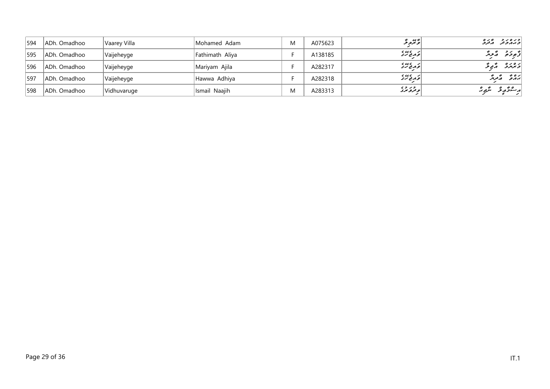| 594 | ADh. Omadhoo | Vaarev Villa | Mohamed Adam    | M | A075623 | پژیره محر                     | وره رو په ده<br>د په پرس                |
|-----|--------------|--------------|-----------------|---|---------|-------------------------------|-----------------------------------------|
| 595 | ADh. Omadhoo | Vaijeheyge   | Fathimath Aliya |   | A138185 | پر دې په<br>  تو د مو مر د    | نځ بر د حر<br><b>ن</b> ځ جر<br>رحمة وتر |
| 596 | ADh. Omadhoo | Vaijeheyge   | Mariyam Ajila   |   | A282317 | پر دې پر د<br>  تو پر بو پر د | ئە ئەرە<br>پر فع مز                     |
| 597 | ADh. Omadhoo | Vaijeheyge   | Hawwa Adhiya    |   | A282318 | ر مری د<br>  تو د محاک        | پر پر بحر<br>ەر تىرىرگ                  |
| 598 | ADh. Omadhoo | Vidhuvaruge  | Ismail Naajih   | M | A283313 | و در و ،<br>  و ترو بر د      | پر سر پی پر محمد<br>سريع بر             |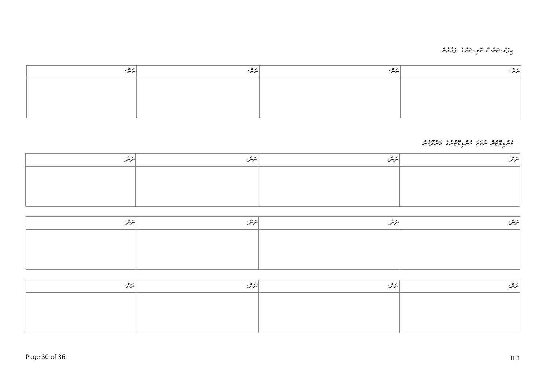## *w7qAn8m? sCw7mRo>u; wEw7mRw;sBo<*

| ' مرمر | 'يئرىثر: |
|--------|----------|
|        |          |
|        |          |
|        |          |

## *w7q9r@w7m> sCw7qHtFoFw7s; mAm=q7 w7qHtFoFw7s;*

| يئرمىش: | $^{\circ}$<br>. سر سر<br>$\cdot$ | $\circ$ $\sim$<br>-- | يئرمثر |
|---------|----------------------------------|----------------------|--------|
|         |                                  |                      |        |
|         |                                  |                      |        |
|         |                                  |                      |        |

| $\frac{\partial}{\partial x}$ | $^{\circ}$ | $\frac{2}{n}$ | $^{\circ}$<br>سرسر. |
|-------------------------------|------------|---------------|---------------------|
|                               |            |               |                     |
|                               |            |               |                     |
|                               |            |               |                     |

| ىرتىر: | 。<br>سر سر | .,<br>مرسر |
|--------|------------|------------|
|        |            |            |
|        |            |            |
|        |            |            |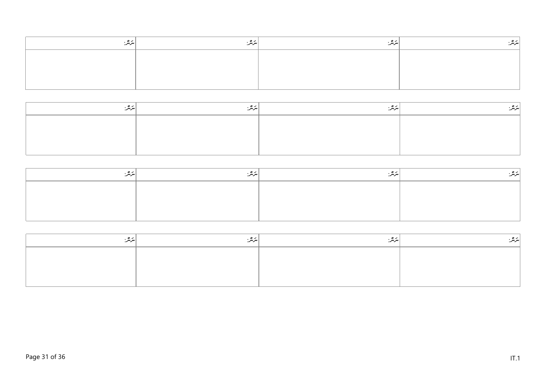| يزهر | $^{\circ}$ | ىئرىتر: |  |
|------|------------|---------|--|
|      |            |         |  |
|      |            |         |  |
|      |            |         |  |

| <sup>.</sup> سرسر. |  |
|--------------------|--|
|                    |  |
|                    |  |
|                    |  |

| ىئرىتر. | $\sim$ | ا بر هه. | لىرىش |
|---------|--------|----------|-------|
|         |        |          |       |
|         |        |          |       |
|         |        |          |       |

| 。<br>مرس. | $\overline{\phantom{a}}$<br>مر مىر | يتريثر |
|-----------|------------------------------------|--------|
|           |                                    |        |
|           |                                    |        |
|           |                                    |        |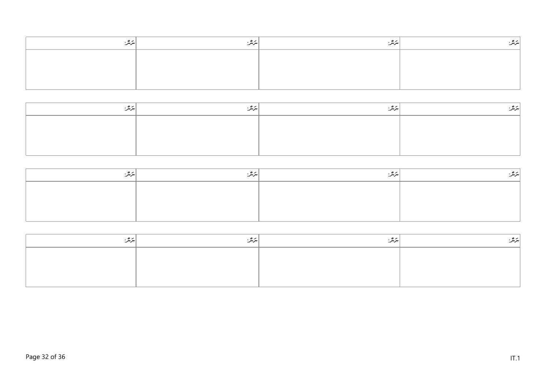| ير هو . | $\overline{\phantom{a}}$ | يرمر | اير هنه. |
|---------|--------------------------|------|----------|
|         |                          |      |          |
|         |                          |      |          |
|         |                          |      |          |

| ىر تىر: | $\circ$ $\sim$<br>" سرسر . | يترمير | o . |
|---------|----------------------------|--------|-----|
|         |                            |        |     |
|         |                            |        |     |
|         |                            |        |     |

| 'تترنثر: | 。<br>,,,, |  |
|----------|-----------|--|
|          |           |  |
|          |           |  |
|          |           |  |

|  | . ه |
|--|-----|
|  |     |
|  |     |
|  |     |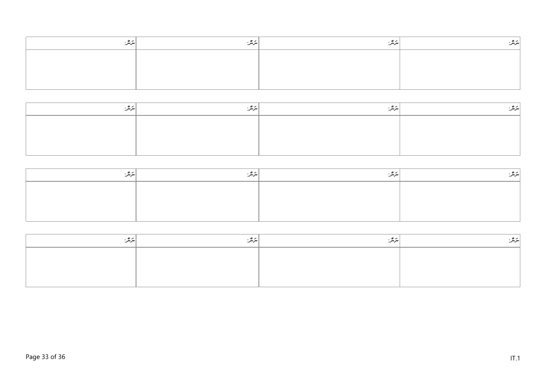| ير هو . | $\overline{\phantom{a}}$ | يرمر | اير هنه. |
|---------|--------------------------|------|----------|
|         |                          |      |          |
|         |                          |      |          |
|         |                          |      |          |

| ىر تىر: | $\circ$ $\sim$<br>" سرسر . | يترمير | o . |
|---------|----------------------------|--------|-----|
|         |                            |        |     |
|         |                            |        |     |
|         |                            |        |     |

| انترنثر: | ر ه |  |
|----------|-----|--|
|          |     |  |
|          |     |  |
|          |     |  |

|  | . ه |
|--|-----|
|  |     |
|  |     |
|  |     |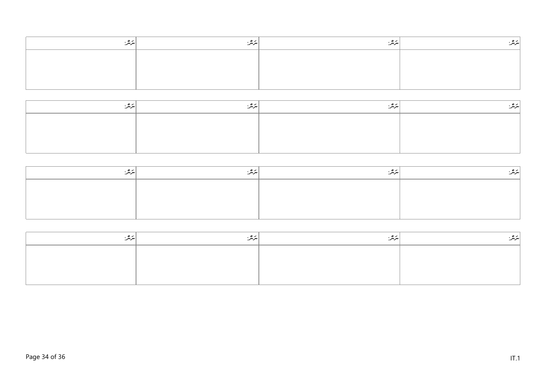| $\cdot$ | ο. | $\frac{\circ}{\cdot}$ | $\sim$<br>سرسر |
|---------|----|-----------------------|----------------|
|         |    |                       |                |
|         |    |                       |                |
|         |    |                       |                |

| ايرعر: | ر ه<br>. . |  |
|--------|------------|--|
|        |            |  |
|        |            |  |
|        |            |  |

| بر ه | 。 | $\overline{\phantom{0}}$<br>َ سومس. |  |
|------|---|-------------------------------------|--|
|      |   |                                     |  |
|      |   |                                     |  |
|      |   |                                     |  |

| ىئەتىر: | بر سر<br>$\tilde{\phantom{a}}$ | $\sim$<br>' سرسر . |  |
|---------|--------------------------------|--------------------|--|
|         |                                |                    |  |
|         |                                |                    |  |
|         |                                |                    |  |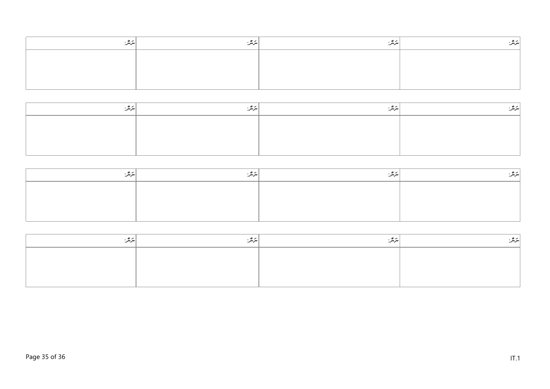| ير هو . | $\overline{\phantom{a}}$ | يرمر | لتزمثن |
|---------|--------------------------|------|--------|
|         |                          |      |        |
|         |                          |      |        |
|         |                          |      |        |

| ىر تىر: | $\circ$ $\sim$<br>" سرسر . | يترمير | o . |
|---------|----------------------------|--------|-----|
|         |                            |        |     |
|         |                            |        |     |
|         |                            |        |     |

| الترنثر: | ' مرتكز: | الترنثر: | .,<br>سرسر. |
|----------|----------|----------|-------------|
|          |          |          |             |
|          |          |          |             |
|          |          |          |             |

|  | . ه |
|--|-----|
|  |     |
|  |     |
|  |     |